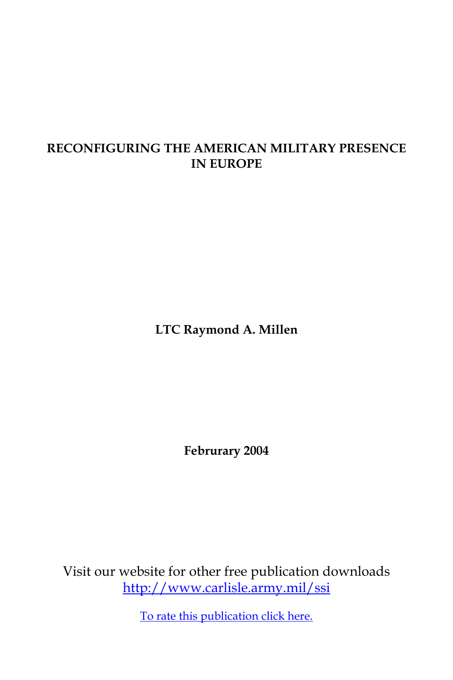# **RECONFIGURING THE AMERICAN MILITARY PRESENCE IN EUROPE**

**LTC Raymond A. Millen**

**Februrary 2004**

Visit our website for other free publication downloads <http://www.carlisle.army.mil/ssi>

[To rate this publication click here.](http://www.carlisle.army.mil/ssi/pubs/display.cfm/hurl/PubID=369)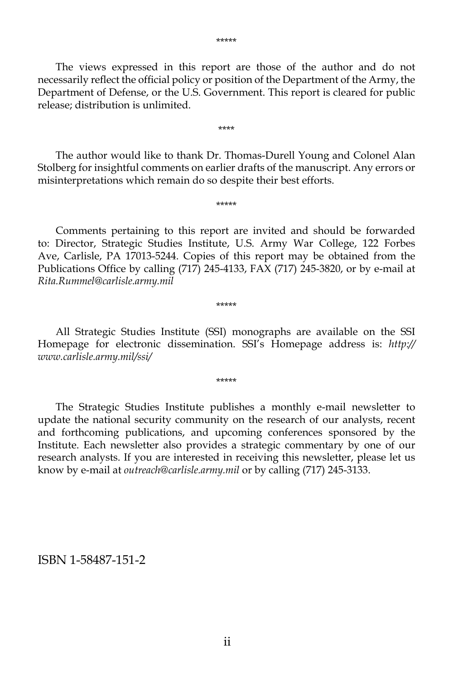The views expressed in this report are those of the author and do not necessarily reflect the official policy or position of the Department of the Army, the Department of Defense, or the U.S. Government. This report is cleared for public release; distribution is unlimited.

 The author would like to thank Dr. Thomas-Durell Young and Colonel Alan Stolberg for insightful comments on earlier drafts of the manuscript. Any errors or misinterpretations which remain do so despite their best efforts.

\*\*\*\*\*

\*\*\*\*

 Comments pertaining to this report are invited and should be forwarded to: Director, Strategic Studies Institute, U.S. Army War College, 122 Forbes Ave, Carlisle, PA 17013-5244. Copies of this report may be obtained from the Publications Office by calling (717) 245-4133, FAX (717) 245-3820, or by e-mail at *Rita.Rummel@carlisle.army.mil*

\*\*\*\*\*

 All Strategic Studies Institute (SSI) monographs are available on the SSI Homepage for electronic dissemination. SSI's Homepage address is: *http:// www.carlisle.army.mil/ssi/*

\*\*\*\*\*

 The Strategic Studies Institute publishes a monthly e-mail newsletter to update the national security community on the research of our analysts, recent and forthcoming publications, and upcoming conferences sponsored by the Institute. Each newsletter also provides a strategic commentary by one of our research analysts. If you are interested in receiving this newsletter, please let us know by e-mail at *outreach@carlisle.army.mil* or by calling (717) 245-3133.

### ISBN 1-58487-151-2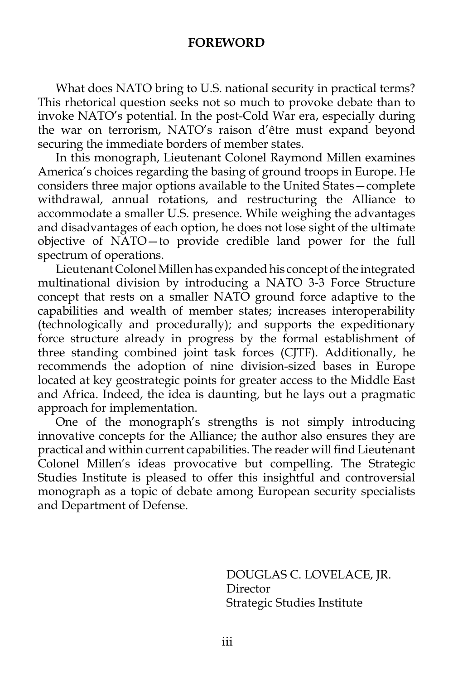### **FOREWORD**

 What does NATO bring to U.S. national security in practical terms? This rhetorical question seeks not so much to provoke debate than to invoke NATO's potential. In the post-Cold War era, especially during the war on terrorism, NATO's raison d'être must expand beyond securing the immediate borders of member states.

 In this monograph, Lieutenant Colonel Raymond Millen examines America's choices regarding the basing of ground troops in Europe. He considers three major options available to the United States—complete withdrawal, annual rotations, and restructuring the Alliance to accommodate a smaller U.S. presence. While weighing the advantages and disadvantages of each option, he does not lose sight of the ultimate objective of NATO—to provide credible land power for the full spectrum of operations.

 Lieutenant Colonel Millen has expanded his concept of the integrated multinational division by introducing a NATO 3-3 Force Structure concept that rests on a smaller NATO ground force adaptive to the capabilities and wealth of member states; increases interoperability (technologically and procedurally); and supports the expeditionary force structure already in progress by the formal establishment of three standing combined joint task forces (CJTF). Additionally, he recommends the adoption of nine division-sized bases in Europe located at key geostrategic points for greater access to the Middle East and Africa. Indeed, the idea is daunting, but he lays out a pragmatic approach for implementation.

 One of the monograph's strengths is not simply introducing innovative concepts for the Alliance; the author also ensures they are practical and within current capabilities. The reader will find Lieutenant Colonel Millen's ideas provocative but compelling. The Strategic Studies Institute is pleased to offer this insightful and controversial monograph as a topic of debate among European security specialists and Department of Defense.

> DOUGLAS C. LOVELACE, JR. Director Strategic Studies Institute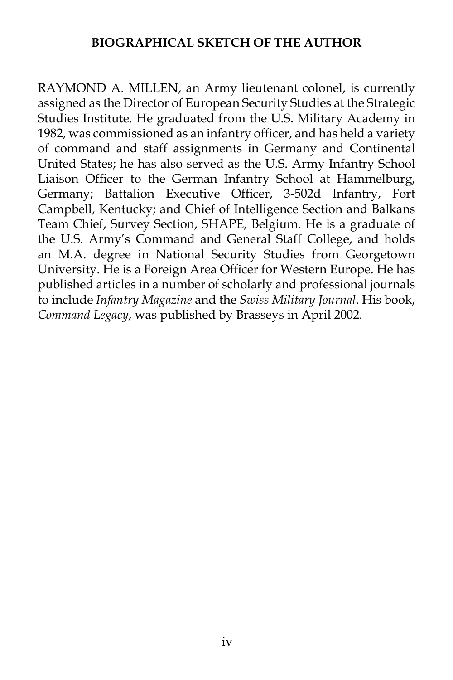# **BIOGRAPHICAL SKETCH OF THE AUTHOR**

RAYMOND A. MILLEN, an Army lieutenant colonel, is currently assigned as the Director of European Security Studies at the Strategic Studies Institute. He graduated from the U.S. Military Academy in 1982, was commissioned as an infantry officer, and has held a variety of command and staff assignments in Germany and Continental United States; he has also served as the U.S. Army Infantry School Liaison Officer to the German Infantry School at Hammelburg, Germany; Battalion Executive Officer, 3-502d Infantry, Fort Campbell, Kentucky; and Chief of Intelligence Section and Balkans Team Chief, Survey Section, SHAPE, Belgium. He is a graduate of the U.S. Army's Command and General Staff College, and holds an M.A. degree in National Security Studies from Georgetown University. He is a Foreign Area Officer for Western Europe. He has published articles in a number of scholarly and professional journals to include *Infantry Magazine* and the *Swiss Military Journal*. His book, *Command Legacy*, was published by Brasseys in April 2002.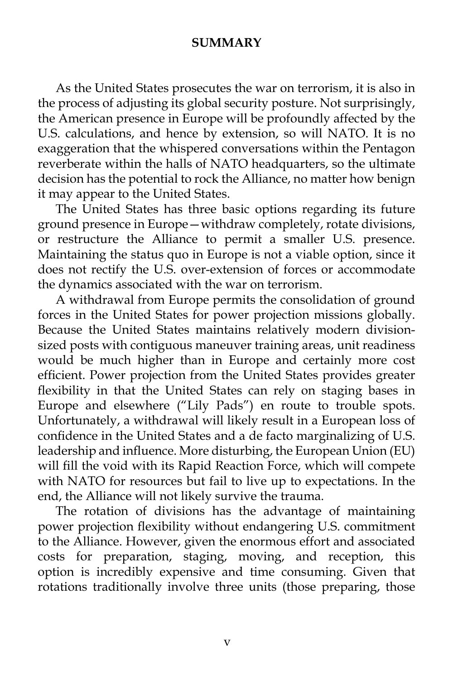# **SUMMARY**

 As the United States prosecutes the war on terrorism, it is also in the process of adjusting its global security posture. Not surprisingly, the American presence in Europe will be profoundly affected by the U.S. calculations, and hence by extension, so will NATO. It is no exaggeration that the whispered conversations within the Pentagon reverberate within the halls of NATO headquarters, so the ultimate decision has the potential to rock the Alliance, no matter how benign it may appear to the United States.

 The United States has three basic options regarding its future ground presence in Europe—withdraw completely, rotate divisions, or restructure the Alliance to permit a smaller U.S. presence. Maintaining the status quo in Europe is not a viable option, since it does not rectify the U.S. over-extension of forces or accommodate the dynamics associated with the war on terrorism.

 A withdrawal from Europe permits the consolidation of ground forces in the United States for power projection missions globally. Because the United States maintains relatively modern divisionsized posts with contiguous maneuver training areas, unit readiness would be much higher than in Europe and certainly more cost efficient. Power projection from the United States provides greater flexibility in that the United States can rely on staging bases in Europe and elsewhere ("Lily Pads") en route to trouble spots. Unfortunately, a withdrawal will likely result in a European loss of confidence in the United States and a de facto marginalizing of U.S. leadership and influence. More disturbing, the European Union (EU) will fill the void with its Rapid Reaction Force, which will compete with NATO for resources but fail to live up to expectations. In the end, the Alliance will not likely survive the trauma.

 The rotation of divisions has the advantage of maintaining power projection flexibility without endangering U.S. commitment to the Alliance. However, given the enormous effort and associated costs for preparation, staging, moving, and reception, this option is incredibly expensive and time consuming. Given that rotations traditionally involve three units (those preparing, those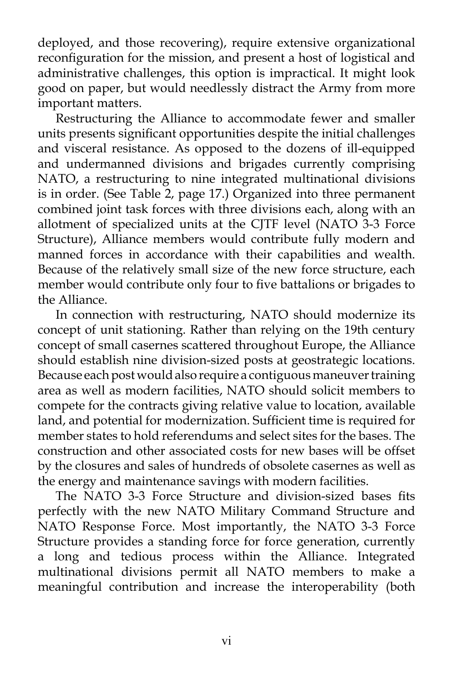deployed, and those recovering), require extensive organizational reconfiguration for the mission, and present a host of logistical and administrative challenges, this option is impractical. It might look good on paper, but would needlessly distract the Army from more important matters.

 Restructuring the Alliance to accommodate fewer and smaller units presents significant opportunities despite the initial challenges and visceral resistance. As opposed to the dozens of ill-equipped and undermanned divisions and brigades currently comprising NATO, a restructuring to nine integrated multinational divisions is in order. (See Table 2, page 17.) Organized into three permanent combined joint task forces with three divisions each, along with an allotment of specialized units at the CJTF level (NATO 3-3 Force Structure), Alliance members would contribute fully modern and manned forces in accordance with their capabilities and wealth. Because of the relatively small size of the new force structure, each member would contribute only four to five battalions or brigades to the Alliance.

 In connection with restructuring, NATO should modernize its concept of unit stationing. Rather than relying on the 19th century concept of small casernes scattered throughout Europe, the Alliance should establish nine division-sized posts at geostrategic locations. Because each post would also require a contiguous maneuver training area as well as modern facilities, NATO should solicit members to compete for the contracts giving relative value to location, available land, and potential for modernization. Sufficient time is required for member states to hold referendums and select sites for the bases. The construction and other associated costs for new bases will be offset by the closures and sales of hundreds of obsolete casernes as well as the energy and maintenance savings with modern facilities.

 The NATO 3-3 Force Structure and division-sized bases fits perfectly with the new NATO Military Command Structure and NATO Response Force. Most importantly, the NATO 3-3 Force Structure provides a standing force for force generation, currently a long and tedious process within the Alliance. Integrated multinational divisions permit all NATO members to make a meaningful contribution and increase the interoperability (both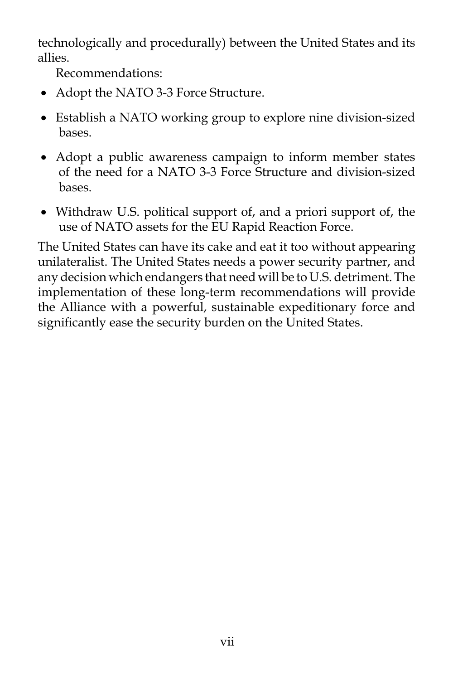technologically and procedurally) between the United States and its allies.

Recommendations:

- Adopt the NATO 3-3 Force Structure.
- Establish a NATO working group to explore nine division-sized bases.
- Adopt a public awareness campaign to inform member states of the need for a NATO 3-3 Force Structure and division-sized bases.
- Withdraw U.S. political support of, and a priori support of, the use of NATO assets for the EU Rapid Reaction Force.

The United States can have its cake and eat it too without appearing unilateralist. The United States needs a power security partner, and any decision which endangers that need will be to U.S. detriment. The implementation of these long-term recommendations will provide the Alliance with a powerful, sustainable expeditionary force and significantly ease the security burden on the United States.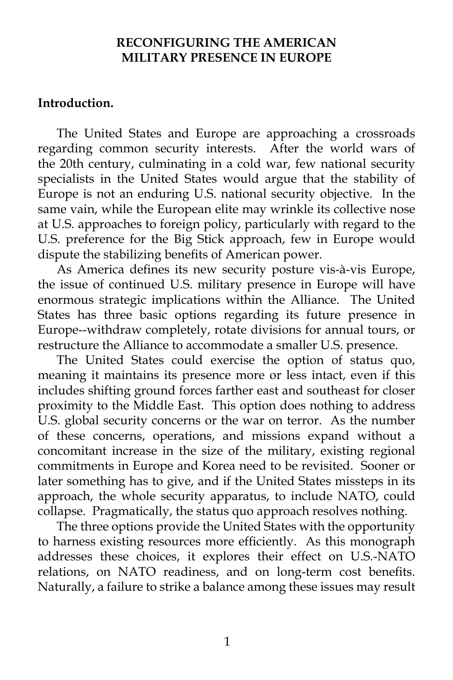### **RECONFIGURING THE AMERICAN MILITARY PRESENCE IN EUROPE**

### **Introduction.**

 The United States and Europe are approaching a crossroads regarding common security interests. After the world wars of the 20th century, culminating in a cold war, few national security specialists in the United States would argue that the stability of Europe is not an enduring U.S. national security objective. In the same vain, while the European elite may wrinkle its collective nose at U.S. approaches to foreign policy, particularly with regard to the U.S. preference for the Big Stick approach, few in Europe would dispute the stabilizing benefits of American power.

 As America defines its new security posture vis-à-vis Europe, the issue of continued U.S. military presence in Europe will have enormous strategic implications within the Alliance. The United States has three basic options regarding its future presence in Europe--withdraw completely, rotate divisions for annual tours, or restructure the Alliance to accommodate a smaller U.S. presence.

 The United States could exercise the option of status quo, meaning it maintains its presence more or less intact, even if this includes shifting ground forces farther east and southeast for closer proximity to the Middle East. This option does nothing to address U.S. global security concerns or the war on terror. As the number of these concerns, operations, and missions expand without a concomitant increase in the size of the military, existing regional commitments in Europe and Korea need to be revisited. Sooner or later something has to give, and if the United States missteps in its approach, the whole security apparatus, to include NATO, could collapse. Pragmatically, the status quo approach resolves nothing.

 The three options provide the United States with the opportunity to harness existing resources more efficiently. As this monograph addresses these choices, it explores their effect on U.S.-NATO relations, on NATO readiness, and on long-term cost benefits. Naturally, a failure to strike a balance among these issues may result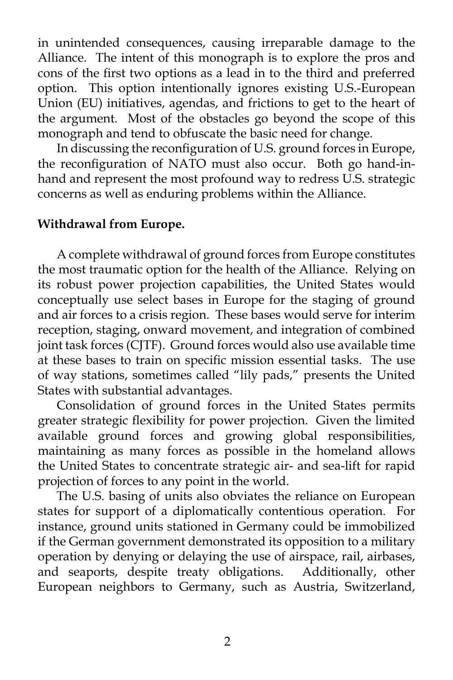in unintended consequences, causing irreparable damage to the Alliance. The intent of this monograph is to explore the pros and cons of the first two options as a lead in to the third and preferred option. This option intentionally ignores existing U.S.-European Union (EU) initiatives, agendas, and frictions to get to the heart of the argument. Most of the obstacles go beyond the scope of this monograph and tend to obfuscate the basic need for change.

 In discussing the reconfiguration of U.S. ground forces in Europe, the reconfiguration of NATO must also occur. Both go hand-inhand and represent the most profound way to redress U.S. strategic concerns as well as enduring problems within the Alliance.

# **Withdrawal from Europe.**

 A complete withdrawal of ground forces from Europe constitutes the most traumatic option for the health of the Alliance. Relying on its robust power projection capabilities, the United States would conceptually use select bases in Europe for the staging of ground and air forces to a crisis region. These bases would serve for interim reception, staging, onward movement, and integration of combined joint task forces (CJTF). Ground forces would also use available time at these bases to train on specific mission essential tasks. The use of way stations, sometimes called "lily pads," presents the United States with substantial advantages.

 Consolidation of ground forces in the United States permits greater strategic flexibility for power projection. Given the limited available ground forces and growing global responsibilities, maintaining as many forces as possible in the homeland allows the United States to concentrate strategic air- and sea-lift for rapid projection of forces to any point in the world.

 The U.S. basing of units also obviates the reliance on European states for support of a diplomatically contentious operation. For instance, ground units stationed in Germany could be immobilized if the German government demonstrated its opposition to a military operation by denying or delaying the use of airspace, rail, airbases, and seaports, despite treaty obligations. Additionally, other European neighbors to Germany, such as Austria, Switzerland,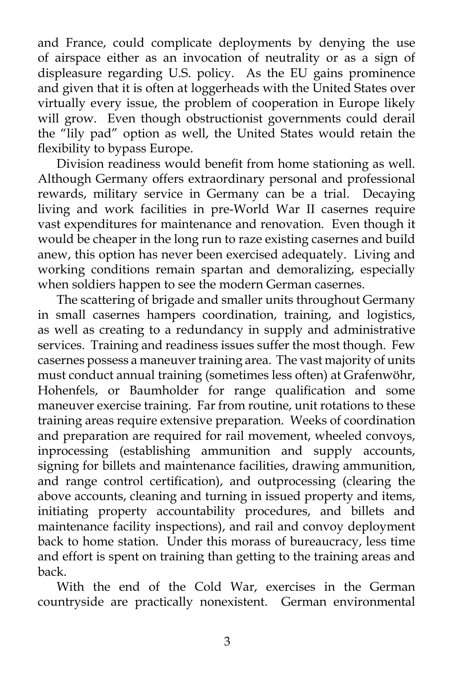and France, could complicate deployments by denying the use of airspace either as an invocation of neutrality or as a sign of displeasure regarding U.S. policy. As the EU gains prominence and given that it is often at loggerheads with the United States over virtually every issue, the problem of cooperation in Europe likely will grow. Even though obstructionist governments could derail the "lily pad" option as well, the United States would retain the flexibility to bypass Europe.

 Division readiness would benefit from home stationing as well. Although Germany offers extraordinary personal and professional rewards, military service in Germany can be a trial. Decaying living and work facilities in pre-World War II casernes require vast expenditures for maintenance and renovation. Even though it would be cheaper in the long run to raze existing casernes and build anew, this option has never been exercised adequately. Living and working conditions remain spartan and demoralizing, especially when soldiers happen to see the modern German casernes.

 The scattering of brigade and smaller units throughout Germany in small casernes hampers coordination, training, and logistics, as well as creating to a redundancy in supply and administrative services. Training and readiness issues suffer the most though. Few casernes possess a maneuver training area. The vast majority of units must conduct annual training (sometimes less often) at Grafenwöhr, Hohenfels, or Baumholder for range qualification and some maneuver exercise training. Far from routine, unit rotations to these training areas require extensive preparation. Weeks of coordination and preparation are required for rail movement, wheeled convoys, inprocessing (establishing ammunition and supply accounts, signing for billets and maintenance facilities, drawing ammunition, and range control certification), and outprocessing (clearing the above accounts, cleaning and turning in issued property and items, initiating property accountability procedures, and billets and maintenance facility inspections), and rail and convoy deployment back to home station. Under this morass of bureaucracy, less time and effort is spent on training than getting to the training areas and back.

 With the end of the Cold War, exercises in the German countryside are practically nonexistent. German environmental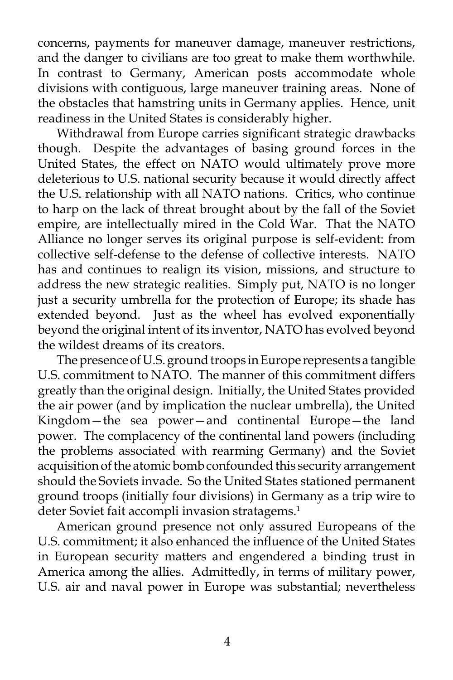concerns, payments for maneuver damage, maneuver restrictions, and the danger to civilians are too great to make them worthwhile. In contrast to Germany, American posts accommodate whole divisions with contiguous, large maneuver training areas. None of the obstacles that hamstring units in Germany applies. Hence, unit readiness in the United States is considerably higher.

 Withdrawal from Europe carries significant strategic drawbacks though. Despite the advantages of basing ground forces in the United States, the effect on NATO would ultimately prove more deleterious to U.S. national security because it would directly affect the U.S. relationship with all NATO nations. Critics, who continue to harp on the lack of threat brought about by the fall of the Soviet empire, are intellectually mired in the Cold War. That the NATO Alliance no longer serves its original purpose is self-evident: from collective self-defense to the defense of collective interests. NATO has and continues to realign its vision, missions, and structure to address the new strategic realities. Simply put, NATO is no longer just a security umbrella for the protection of Europe; its shade has extended beyond. Just as the wheel has evolved exponentially beyond the original intent of its inventor, NATO has evolved beyond the wildest dreams of its creators.

 The presence of U.S. ground troops in Europe represents a tangible U.S. commitment to NATO. The manner of this commitment differs greatly than the original design. Initially, the United States provided the air power (and by implication the nuclear umbrella), the United Kingdom—the sea power—and continental Europe—the land power. The complacency of the continental land powers (including the problems associated with rearming Germany) and the Soviet acquisition of the atomic bomb confounded this security arrangement should the Soviets invade. So the United States stationed permanent ground troops (initially four divisions) in Germany as a trip wire to deter Soviet fait accompli invasion stratagems.<sup>1</sup>

 American ground presence not only assured Europeans of the U.S. commitment; it also enhanced the influence of the United States in European security matters and engendered a binding trust in America among the allies. Admittedly, in terms of military power, U.S. air and naval power in Europe was substantial; nevertheless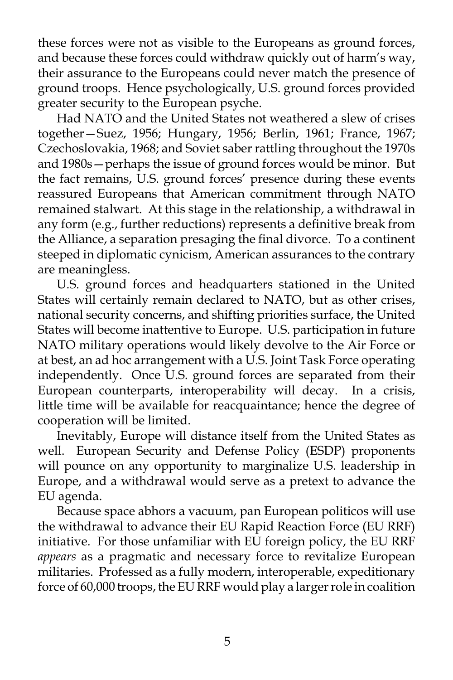these forces were not as visible to the Europeans as ground forces, and because these forces could withdraw quickly out of harm's way, their assurance to the Europeans could never match the presence of ground troops. Hence psychologically, U.S. ground forces provided greater security to the European psyche.

 Had NATO and the United States not weathered a slew of crises together—Suez, 1956; Hungary, 1956; Berlin, 1961; France, 1967; Czechoslovakia, 1968; and Soviet saber rattling throughout the 1970s and 1980s—perhaps the issue of ground forces would be minor. But the fact remains, U.S. ground forces' presence during these events reassured Europeans that American commitment through NATO remained stalwart. At this stage in the relationship, a withdrawal in any form (e.g., further reductions) represents a definitive break from the Alliance, a separation presaging the final divorce. To a continent steeped in diplomatic cynicism, American assurances to the contrary are meaningless.

 U.S. ground forces and headquarters stationed in the United States will certainly remain declared to NATO, but as other crises, national security concerns, and shifting priorities surface, the United States will become inattentive to Europe. U.S. participation in future NATO military operations would likely devolve to the Air Force or at best, an ad hoc arrangement with a U.S. Joint Task Force operating independently. Once U.S. ground forces are separated from their European counterparts, interoperability will decay. In a crisis, little time will be available for reacquaintance; hence the degree of cooperation will be limited.

 Inevitably, Europe will distance itself from the United States as well. European Security and Defense Policy (ESDP) proponents will pounce on any opportunity to marginalize U.S. leadership in Europe, and a withdrawal would serve as a pretext to advance the EU agenda.

 Because space abhors a vacuum, pan European politicos will use the withdrawal to advance their EU Rapid Reaction Force (EU RRF) initiative. For those unfamiliar with EU foreign policy, the EU RRF *appears* as a pragmatic and necessary force to revitalize European militaries. Professed as a fully modern, interoperable, expeditionary force of 60,000 troops, the EU RRF would play a larger role in coalition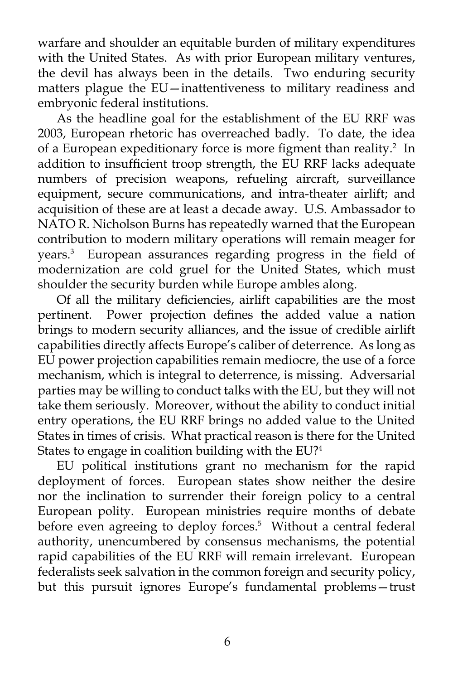warfare and shoulder an equitable burden of military expenditures with the United States. As with prior European military ventures, the devil has always been in the details. Two enduring security matters plague the EU—inattentiveness to military readiness and embryonic federal institutions.

 As the headline goal for the establishment of the EU RRF was 2003, European rhetoric has overreached badly. To date, the idea of a European expeditionary force is more figment than reality.<sup>2</sup> In addition to insufficient troop strength, the EU RRF lacks adequate numbers of precision weapons, refueling aircraft, surveillance equipment, secure communications, and intra-theater airlift; and acquisition of these are at least a decade away. U.S. Ambassador to NATO R. Nicholson Burns has repeatedly warned that the European contribution to modern military operations will remain meager for years.3 European assurances regarding progress in the field of modernization are cold gruel for the United States, which must shoulder the security burden while Europe ambles along.

 Of all the military deficiencies, airlift capabilities are the most pertinent. Power projection defines the added value a nation brings to modern security alliances, and the issue of credible airlift capabilities directly affects Europe's caliber of deterrence. As long as EU power projection capabilities remain mediocre, the use of a force mechanism, which is integral to deterrence, is missing. Adversarial parties may be willing to conduct talks with the EU, but they will not take them seriously. Moreover, without the ability to conduct initial entry operations, the EU RRF brings no added value to the United States in times of crisis. What practical reason is there for the United States to engage in coalition building with the EU?4

 EU political institutions grant no mechanism for the rapid deployment of forces. European states show neither the desire nor the inclination to surrender their foreign policy to a central European polity. European ministries require months of debate before even agreeing to deploy forces.<sup>5</sup> Without a central federal authority, unencumbered by consensus mechanisms, the potential rapid capabilities of the EU RRF will remain irrelevant. European federalists seek salvation in the common foreign and security policy, but this pursuit ignores Europe's fundamental problems—trust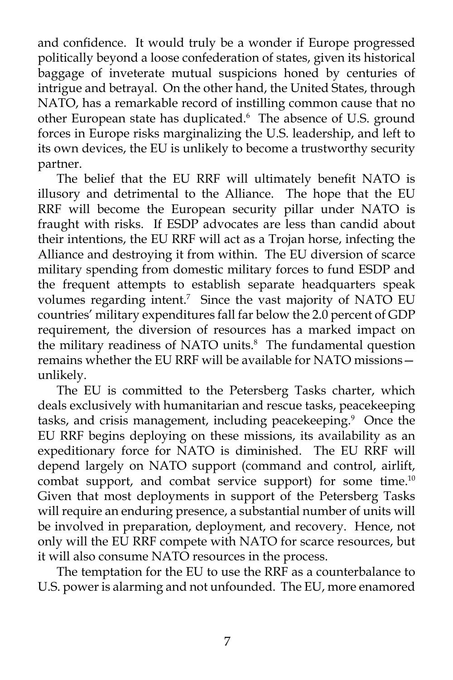and confidence. It would truly be a wonder if Europe progressed politically beyond a loose confederation of states, given its historical baggage of inveterate mutual suspicions honed by centuries of intrigue and betrayal. On the other hand, the United States, through NATO, has a remarkable record of instilling common cause that no other European state has duplicated.<sup>6</sup> The absence of U.S. ground forces in Europe risks marginalizing the U.S. leadership, and left to its own devices, the EU is unlikely to become a trustworthy security partner.

 The belief that the EU RRF will ultimately benefit NATO is illusory and detrimental to the Alliance. The hope that the EU RRF will become the European security pillar under NATO is fraught with risks. If ESDP advocates are less than candid about their intentions, the EU RRF will act as a Trojan horse, infecting the Alliance and destroying it from within. The EU diversion of scarce military spending from domestic military forces to fund ESDP and the frequent attempts to establish separate headquarters speak volumes regarding intent.7 Since the vast majority of NATO EU countries' military expenditures fall far below the 2.0 percent of GDP requirement, the diversion of resources has a marked impact on the military readiness of NATO units.<sup>8</sup> The fundamental question remains whether the EU RRF will be available for NATO missions unlikely.

 The EU is committed to the Petersberg Tasks charter, which deals exclusively with humanitarian and rescue tasks, peacekeeping tasks, and crisis management, including peacekeeping.<sup>9</sup> Once the EU RRF begins deploying on these missions, its availability as an expeditionary force for NATO is diminished. The EU RRF will depend largely on NATO support (command and control, airlift, combat support, and combat service support) for some time.<sup>10</sup> Given that most deployments in support of the Petersberg Tasks will require an enduring presence, a substantial number of units will be involved in preparation, deployment, and recovery. Hence, not only will the EU RRF compete with NATO for scarce resources, but it will also consume NATO resources in the process.

 The temptation for the EU to use the RRF as a counterbalance to U.S. power is alarming and not unfounded. The EU, more enamored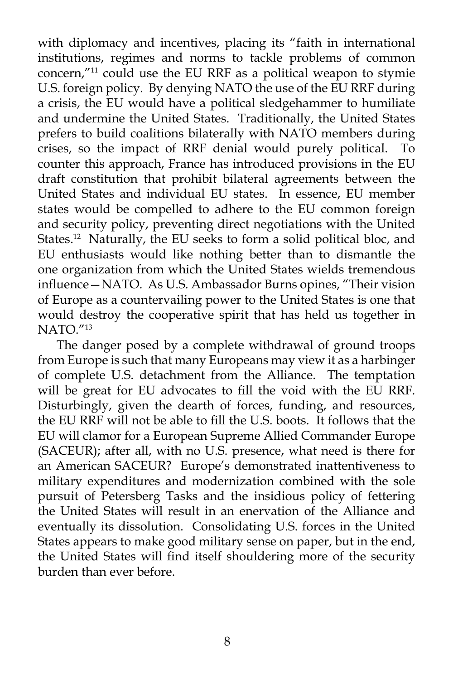with diplomacy and incentives, placing its "faith in international institutions, regimes and norms to tackle problems of common concern,"11 could use the EU RRF as a political weapon to stymie U.S. foreign policy. By denying NATO the use of the EU RRF during a crisis, the EU would have a political sledgehammer to humiliate and undermine the United States. Traditionally, the United States prefers to build coalitions bilaterally with NATO members during crises, so the impact of RRF denial would purely political. To counter this approach, France has introduced provisions in the EU draft constitution that prohibit bilateral agreements between the United States and individual EU states. In essence, EU member states would be compelled to adhere to the EU common foreign and security policy, preventing direct negotiations with the United States.12 Naturally, the EU seeks to form a solid political bloc, and EU enthusiasts would like nothing better than to dismantle the one organization from which the United States wields tremendous influence—NATO. As U.S. Ambassador Burns opines, "Their vision of Europe as a countervailing power to the United States is one that would destroy the cooperative spirit that has held us together in NATO."13

 The danger posed by a complete withdrawal of ground troops from Europe is such that many Europeans may view it as a harbinger of complete U.S. detachment from the Alliance. The temptation will be great for EU advocates to fill the void with the EU RRF. Disturbingly, given the dearth of forces, funding, and resources, the EU RRF will not be able to fill the U.S. boots. It follows that the EU will clamor for a European Supreme Allied Commander Europe (SACEUR); after all, with no U.S. presence, what need is there for an American SACEUR? Europe's demonstrated inattentiveness to military expenditures and modernization combined with the sole pursuit of Petersberg Tasks and the insidious policy of fettering the United States will result in an enervation of the Alliance and eventually its dissolution. Consolidating U.S. forces in the United States appears to make good military sense on paper, but in the end, the United States will find itself shouldering more of the security burden than ever before.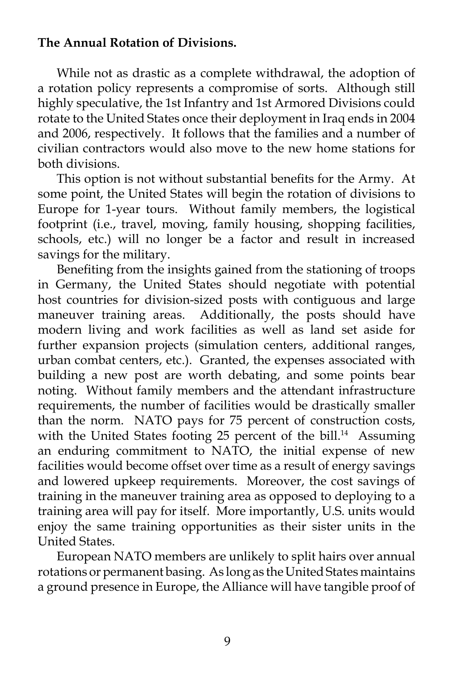# **The Annual Rotation of Divisions.**

 While not as drastic as a complete withdrawal, the adoption of a rotation policy represents a compromise of sorts. Although still highly speculative, the 1st Infantry and 1st Armored Divisions could rotate to the United States once their deployment in Iraq ends in 2004 and 2006, respectively. It follows that the families and a number of civilian contractors would also move to the new home stations for both divisions.

 This option is not without substantial benefits for the Army. At some point, the United States will begin the rotation of divisions to Europe for 1-year tours. Without family members, the logistical footprint (i.e., travel, moving, family housing, shopping facilities, schools, etc.) will no longer be a factor and result in increased savings for the military.

 Benefiting from the insights gained from the stationing of troops in Germany, the United States should negotiate with potential host countries for division-sized posts with contiguous and large maneuver training areas. Additionally, the posts should have modern living and work facilities as well as land set aside for further expansion projects (simulation centers, additional ranges, urban combat centers, etc.). Granted, the expenses associated with building a new post are worth debating, and some points bear noting. Without family members and the attendant infrastructure requirements, the number of facilities would be drastically smaller than the norm. NATO pays for 75 percent of construction costs, with the United States footing 25 percent of the bill.<sup>14</sup> Assuming an enduring commitment to NATO, the initial expense of new facilities would become offset over time as a result of energy savings and lowered upkeep requirements. Moreover, the cost savings of training in the maneuver training area as opposed to deploying to a training area will pay for itself. More importantly, U.S. units would enjoy the same training opportunities as their sister units in the United States.

 European NATO members are unlikely to split hairs over annual rotations or permanent basing. As long as the United States maintains a ground presence in Europe, the Alliance will have tangible proof of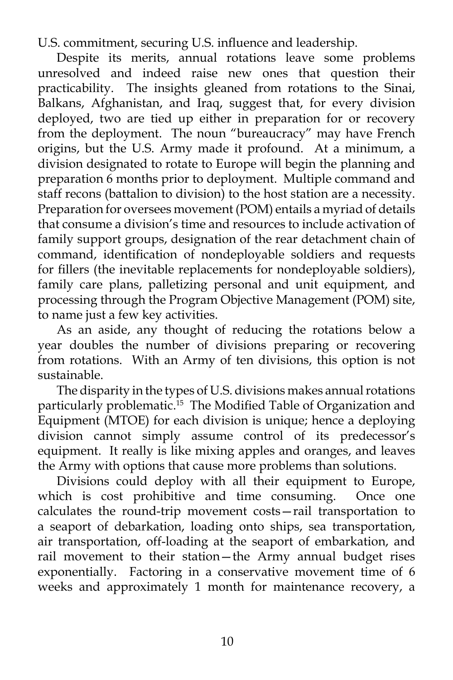U.S. commitment, securing U.S. influence and leadership.

 Despite its merits, annual rotations leave some problems unresolved and indeed raise new ones that question their practicability. The insights gleaned from rotations to the Sinai, Balkans, Afghanistan, and Iraq, suggest that, for every division deployed, two are tied up either in preparation for or recovery from the deployment. The noun "bureaucracy" may have French origins, but the U.S. Army made it profound. At a minimum, a division designated to rotate to Europe will begin the planning and preparation 6 months prior to deployment. Multiple command and staff recons (battalion to division) to the host station are a necessity. Preparation for oversees movement (POM) entails a myriad of details that consume a division's time and resources to include activation of family support groups, designation of the rear detachment chain of command, identification of nondeployable soldiers and requests for fillers (the inevitable replacements for nondeployable soldiers), family care plans, palletizing personal and unit equipment, and processing through the Program Objective Management (POM) site, to name just a few key activities.

 As an aside, any thought of reducing the rotations below a year doubles the number of divisions preparing or recovering from rotations. With an Army of ten divisions, this option is not sustainable.

 The disparity in the types of U.S. divisions makes annual rotations particularly problematic.<sup>15</sup> The Modified Table of Organization and Equipment (MTOE) for each division is unique; hence a deploying division cannot simply assume control of its predecessor's equipment. It really is like mixing apples and oranges, and leaves the Army with options that cause more problems than solutions.

 Divisions could deploy with all their equipment to Europe, which is cost prohibitive and time consuming. Once one calculates the round-trip movement costs—rail transportation to a seaport of debarkation, loading onto ships, sea transportation, air transportation, off-loading at the seaport of embarkation, and rail movement to their station—the Army annual budget rises exponentially. Factoring in a conservative movement time of 6 weeks and approximately 1 month for maintenance recovery, a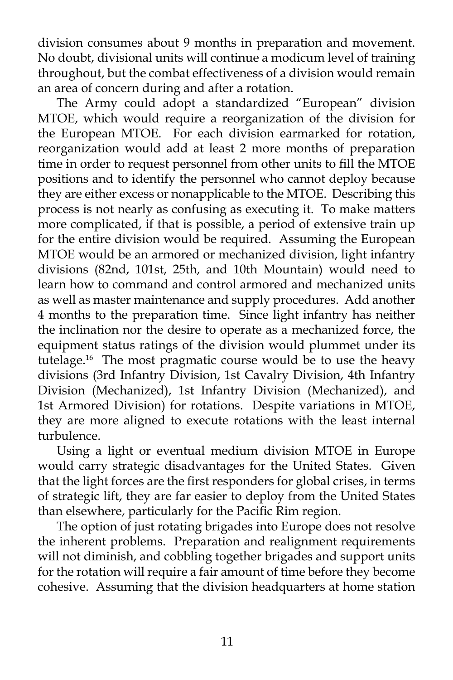division consumes about 9 months in preparation and movement. No doubt, divisional units will continue a modicum level of training throughout, but the combat effectiveness of a division would remain an area of concern during and after a rotation.

 The Army could adopt a standardized "European" division MTOE, which would require a reorganization of the division for the European MTOE. For each division earmarked for rotation, reorganization would add at least 2 more months of preparation time in order to request personnel from other units to fill the MTOE positions and to identify the personnel who cannot deploy because they are either excess or nonapplicable to the MTOE. Describing this process is not nearly as confusing as executing it. To make matters more complicated, if that is possible, a period of extensive train up for the entire division would be required. Assuming the European MTOE would be an armored or mechanized division, light infantry divisions (82nd, 101st, 25th, and 10th Mountain) would need to learn how to command and control armored and mechanized units as well as master maintenance and supply procedures. Add another 4 months to the preparation time. Since light infantry has neither the inclination nor the desire to operate as a mechanized force, the equipment status ratings of the division would plummet under its tutelage.<sup>16</sup> The most pragmatic course would be to use the heavy divisions (3rd Infantry Division, 1st Cavalry Division, 4th Infantry Division (Mechanized), 1st Infantry Division (Mechanized), and 1st Armored Division) for rotations. Despite variations in MTOE, they are more aligned to execute rotations with the least internal turbulence.

 Using a light or eventual medium division MTOE in Europe would carry strategic disadvantages for the United States. Given that the light forces are the first responders for global crises, in terms of strategic lift, they are far easier to deploy from the United States than elsewhere, particularly for the Pacific Rim region.

 The option of just rotating brigades into Europe does not resolve the inherent problems. Preparation and realignment requirements will not diminish, and cobbling together brigades and support units for the rotation will require a fair amount of time before they become cohesive. Assuming that the division headquarters at home station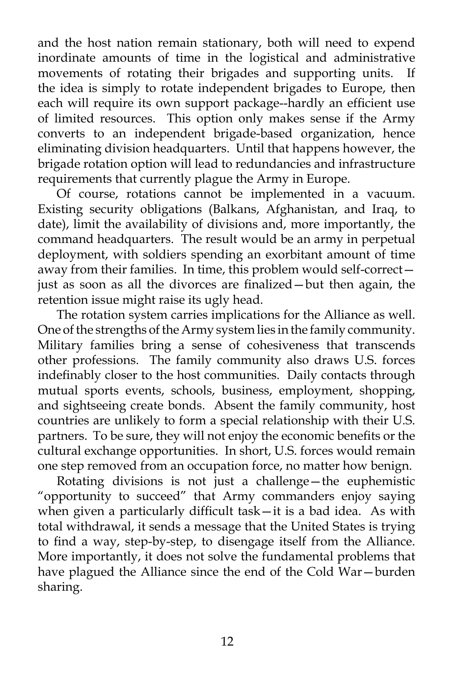and the host nation remain stationary, both will need to expend inordinate amounts of time in the logistical and administrative movements of rotating their brigades and supporting units. If the idea is simply to rotate independent brigades to Europe, then each will require its own support package--hardly an efficient use of limited resources. This option only makes sense if the Army converts to an independent brigade-based organization, hence eliminating division headquarters. Until that happens however, the brigade rotation option will lead to redundancies and infrastructure requirements that currently plague the Army in Europe.

 Of course, rotations cannot be implemented in a vacuum. Existing security obligations (Balkans, Afghanistan, and Iraq, to date), limit the availability of divisions and, more importantly, the command headquarters. The result would be an army in perpetual deployment, with soldiers spending an exorbitant amount of time away from their families. In time, this problem would self-correct just as soon as all the divorces are finalized—but then again, the retention issue might raise its ugly head.

 The rotation system carries implications for the Alliance as well. One of the strengths of the Army system lies in the family community. Military families bring a sense of cohesiveness that transcends other professions. The family community also draws U.S. forces indefinably closer to the host communities. Daily contacts through mutual sports events, schools, business, employment, shopping, and sightseeing create bonds. Absent the family community, host countries are unlikely to form a special relationship with their U.S. partners. To be sure, they will not enjoy the economic benefits or the cultural exchange opportunities. In short, U.S. forces would remain one step removed from an occupation force, no matter how benign.

 Rotating divisions is not just a challenge—the euphemistic "opportunity to succeed" that Army commanders enjoy saying when given a particularly difficult task—it is a bad idea. As with total withdrawal, it sends a message that the United States is trying to find a way, step-by-step, to disengage itself from the Alliance. More importantly, it does not solve the fundamental problems that have plagued the Alliance since the end of the Cold War—burden sharing.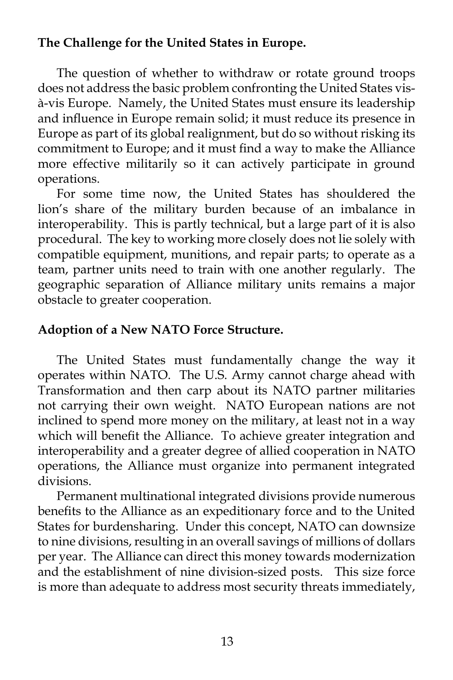# **The Challenge for the United States in Europe.**

 The question of whether to withdraw or rotate ground troops does not address the basic problem confronting the United States visà-vis Europe. Namely, the United States must ensure its leadership and influence in Europe remain solid; it must reduce its presence in Europe as part of its global realignment, but do so without risking its commitment to Europe; and it must find a way to make the Alliance more effective militarily so it can actively participate in ground operations.

 For some time now, the United States has shouldered the lion's share of the military burden because of an imbalance in interoperability. This is partly technical, but a large part of it is also procedural. The key to working more closely does not lie solely with compatible equipment, munitions, and repair parts; to operate as a team, partner units need to train with one another regularly. The geographic separation of Alliance military units remains a major obstacle to greater cooperation.

# **Adoption of a New NATO Force Structure.**

 The United States must fundamentally change the way it operates within NATO. The U.S. Army cannot charge ahead with Transformation and then carp about its NATO partner militaries not carrying their own weight. NATO European nations are not inclined to spend more money on the military, at least not in a way which will benefit the Alliance. To achieve greater integration and interoperability and a greater degree of allied cooperation in NATO operations, the Alliance must organize into permanent integrated divisions.

 Permanent multinational integrated divisions provide numerous benefits to the Alliance as an expeditionary force and to the United States for burdensharing. Under this concept, NATO can downsize to nine divisions, resulting in an overall savings of millions of dollars per year. The Alliance can direct this money towards modernization and the establishment of nine division-sized posts. This size force is more than adequate to address most security threats immediately,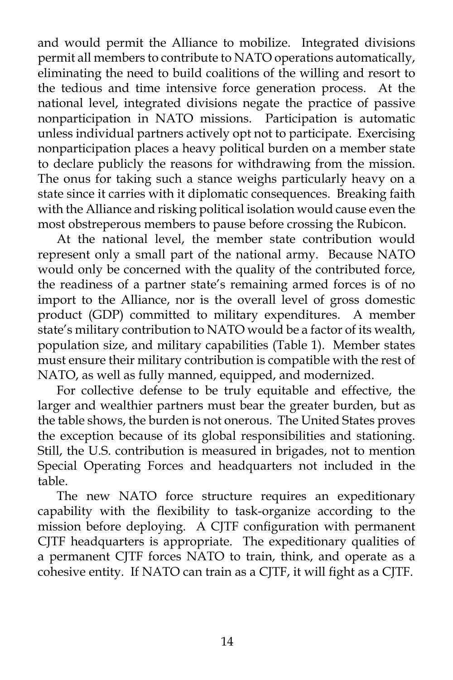and would permit the Alliance to mobilize. Integrated divisions permit all members to contribute to NATO operations automatically, eliminating the need to build coalitions of the willing and resort to the tedious and time intensive force generation process. At the national level, integrated divisions negate the practice of passive nonparticipation in NATO missions. Participation is automatic unless individual partners actively opt not to participate. Exercising nonparticipation places a heavy political burden on a member state to declare publicly the reasons for withdrawing from the mission. The onus for taking such a stance weighs particularly heavy on a state since it carries with it diplomatic consequences. Breaking faith with the Alliance and risking political isolation would cause even the most obstreperous members to pause before crossing the Rubicon.

 At the national level, the member state contribution would represent only a small part of the national army. Because NATO would only be concerned with the quality of the contributed force, the readiness of a partner state's remaining armed forces is of no import to the Alliance, nor is the overall level of gross domestic product (GDP) committed to military expenditures. A member state's military contribution to NATO would be a factor of its wealth, population size, and military capabilities (Table 1). Member states must ensure their military contribution is compatible with the rest of NATO, as well as fully manned, equipped, and modernized.

 For collective defense to be truly equitable and effective, the larger and wealthier partners must bear the greater burden, but as the table shows, the burden is not onerous. The United States proves the exception because of its global responsibilities and stationing. Still, the U.S. contribution is measured in brigades, not to mention Special Operating Forces and headquarters not included in the table.

 The new NATO force structure requires an expeditionary capability with the flexibility to task-organize according to the mission before deploying. A CJTF configuration with permanent CJTF headquarters is appropriate. The expeditionary qualities of a permanent CJTF forces NATO to train, think, and operate as a cohesive entity. If NATO can train as a CJTF, it will fight as a CJTF.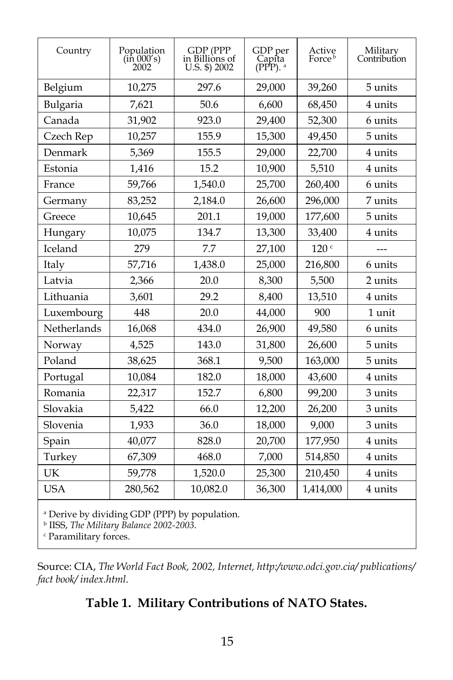| Country     | Population<br>(in 000's)<br>2002 | GDP (PPP<br>in Billions of<br>U.S. \$) 2002 | GDP per<br>Capīta<br>$(PPP)$ . $\alpha$ | Active<br>Force <sup>b</sup> | Military<br>Contribution |  |  |  |
|-------------|----------------------------------|---------------------------------------------|-----------------------------------------|------------------------------|--------------------------|--|--|--|
| Belgium     | 10,275                           | 297.6                                       | 29,000                                  | 39,260                       | 5 units                  |  |  |  |
| Bulgaria    | 7,621                            | 50.6                                        | 6,600                                   | 68,450                       | 4 units                  |  |  |  |
| Canada      | 31,902                           | 923.0                                       | 29,400                                  | 52,300                       | 6 units                  |  |  |  |
| Czech Rep   | 10,257                           | 155.9                                       | 15,300                                  | 49,450                       | 5 units                  |  |  |  |
| Denmark     | 5,369                            | 155.5                                       | 29,000                                  | 22,700                       | 4 units                  |  |  |  |
| Estonia     | 1,416                            | 15.2                                        | 10,900                                  | 5,510                        | 4 units                  |  |  |  |
| France      | 59,766                           | 1,540.0                                     | 25,700                                  | 260,400                      | 6 units                  |  |  |  |
| Germany     | 83,252                           | 2,184.0                                     | 26,600                                  | 296,000                      | 7 units                  |  |  |  |
| Greece      | 10,645                           | 201.1                                       | 19,000                                  | 177,600                      | 5 units                  |  |  |  |
| Hungary     | 10,075                           | 134.7                                       | 13,300                                  | 33,400                       | 4 units                  |  |  |  |
| Iceland     | 279                              | 7.7                                         | 27,100                                  | 120 <sup>c</sup>             | ---                      |  |  |  |
| Italy       | 57,716                           | 1,438.0                                     | 25,000                                  | 216,800                      | 6 units                  |  |  |  |
| Latvia      | 2,366                            | 20.0                                        | 8,300                                   | 5,500                        | 2 units                  |  |  |  |
| Lithuania   | 3,601                            | 29.2                                        | 8,400                                   | 13,510                       | 4 units                  |  |  |  |
| Luxembourg  | 448                              | 20.0                                        | 44,000                                  | 900                          | 1 unit                   |  |  |  |
| Netherlands | 16,068                           | 434.0                                       | 26,900                                  | 49,580                       | 6 units                  |  |  |  |
| Norway      | 4,525                            | 143.0                                       | 31,800                                  | 26,600                       | 5 units                  |  |  |  |
| Poland      | 38,625                           | 368.1                                       | 9,500                                   | 163,000                      | 5 units                  |  |  |  |
| Portugal    | 10,084                           | 182.0                                       | 18,000                                  | 43,600                       | 4 units                  |  |  |  |
| Romania     | 22,317                           | 152.7                                       | 6,800                                   | 99,200                       | 3 units                  |  |  |  |
| Slovakia    | 5,422                            | 66.0                                        | 12,200                                  | 26,200                       | 3 units                  |  |  |  |
| Slovenia    | 1,933                            | 36.0                                        | 18,000                                  | 9,000                        | 3 units                  |  |  |  |
| Spain       | 40,077                           | 828.0                                       | 20,700                                  | 177,950                      | 4 units                  |  |  |  |
| Turkey      | 67,309                           | 468.0                                       | 7,000                                   | 514,850                      | 4 units                  |  |  |  |
| UK          | 59,778                           | 1,520.0                                     | 25,300                                  | 210,450                      | 4 units                  |  |  |  |
| <b>USA</b>  | 280,562                          | 10,082.0                                    | 36,300                                  | 1,414,000                    | 4 units                  |  |  |  |

<sup>a</sup> Derive by dividing GDP (PPP) by population. b IISS, *The Military Balance 2002-2003*.

c Paramilitary forces.

Source: CIA, *The World Fact Book, 2002, Internet, http:/www.odci.gov.cia/ publications/ fact book/ index.html.*

# **Table 1. Military Contributions of NATO States.**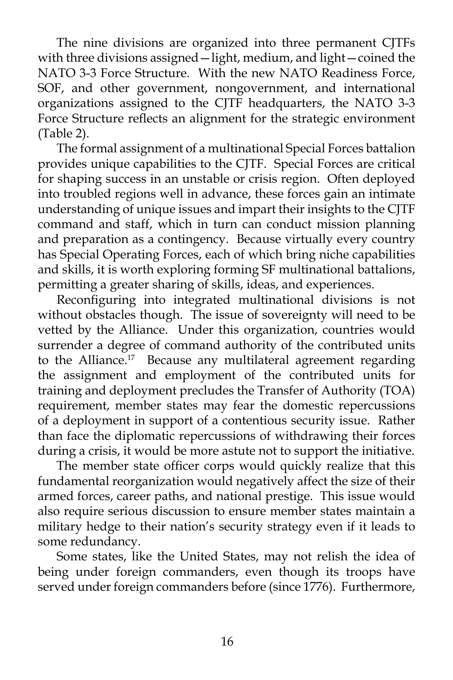The nine divisions are organized into three permanent CJTFs with three divisions assigned—light, medium, and light—coined the NATO 3-3 Force Structure. With the new NATO Readiness Force, SOF, and other government, nongovernment, and international organizations assigned to the CJTF headquarters, the NATO 3-3 Force Structure reflects an alignment for the strategic environment (Table 2).

 The formal assignment of a multinational Special Forces battalion provides unique capabilities to the CJTF. Special Forces are critical for shaping success in an unstable or crisis region. Often deployed into troubled regions well in advance, these forces gain an intimate understanding of unique issues and impart their insights to the CJTF command and staff, which in turn can conduct mission planning and preparation as a contingency. Because virtually every country has Special Operating Forces, each of which bring niche capabilities and skills, it is worth exploring forming SF multinational battalions, permitting a greater sharing of skills, ideas, and experiences.

 Reconfiguring into integrated multinational divisions is not without obstacles though. The issue of sovereignty will need to be vetted by the Alliance. Under this organization, countries would surrender a degree of command authority of the contributed units to the Alliance.<sup>17</sup> Because any multilateral agreement regarding the assignment and employment of the contributed units for training and deployment precludes the Transfer of Authority (TOA) requirement, member states may fear the domestic repercussions of a deployment in support of a contentious security issue. Rather than face the diplomatic repercussions of withdrawing their forces during a crisis, it would be more astute not to support the initiative.

 The member state officer corps would quickly realize that this fundamental reorganization would negatively affect the size of their armed forces, career paths, and national prestige. This issue would also require serious discussion to ensure member states maintain a military hedge to their nation's security strategy even if it leads to some redundancy.

 Some states, like the United States, may not relish the idea of being under foreign commanders, even though its troops have served under foreign commanders before (since 1776). Furthermore,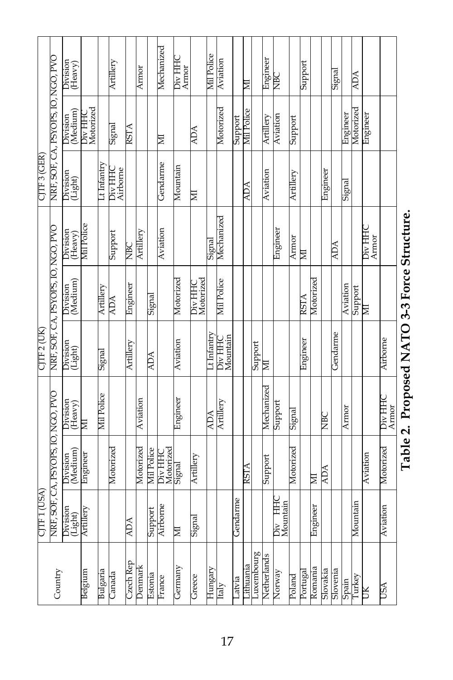|                           |                                    | Division<br>(Heavy)  |                      |                         | Artillery           |             | Armor     |                   | Mechanized           | Div HHC<br>Armor |                      | <b>Mil Police</b> | Aviation                  |              | 扂           |            | Engineer    | ě                          |               | Support  |           |                 | Signal     |          | <b>ADA</b>   |                  |            |
|---------------------------|------------------------------------|----------------------|----------------------|-------------------------|---------------------|-------------|-----------|-------------------|----------------------|------------------|----------------------|-------------------|---------------------------|--------------|-------------|------------|-------------|----------------------------|---------------|----------|-----------|-----------------|------------|----------|--------------|------------------|------------|
|                           | NRF, SOF, CA, PSYOPS, IO, NGO, PVO | Division<br>(Medium) | Div HHC<br>Motorized |                         | Signal              | <b>RSTA</b> |           |                   | ∏                    |                  | <b>ADA</b>           |                   | Motorized                 | Support      | Mil Police  |            | Artillery   | Aviation                   | Support       |          |           |                 |            | Engineer | Motorized    | Engineer         |            |
| CJTF 3 (GER)              |                                    | Division<br>(Light)  |                      | $\overline{t}$ Infantry | Div HHC<br>Airborne |             |           |                   | Gendarme             | Mountain         | E                    |                   |                           |              | ADA         |            | Aviation    |                            | Artillery     |          |           | Engineer        |            | Signal   |              |                  |            |
| CJTF 2 (UK)               |                                    | Division<br>(Heavy)  | Mil Police           |                         | Support             | NBC         | Artillery |                   | Aviation             |                  |                      | Signal            | Mechanized                |              |             |            |             | Engineer                   | Armor         | 扂        |           |                 | <b>ADA</b> |          |              | Div HHC<br>Armor |            |
|                           | NRF, SOF, CA, PSYOPS, IO, NGO, PVC | Division<br>(Medium) |                      | Artillery               | <b>ADA</b>          | Engineer    |           | Signal            |                      | Motorized        | Div HHC<br>Motorized |                   | Mil Police                |              |             |            |             |                            |               | RSTA     | Motorized |                 |            | Aviation | Support      | ⊠                |            |
|                           |                                    | Division<br>(Light)  |                      | Signal                  |                     | Artillery   |           | <b>ADA</b>        |                      | Aviation         |                      | Lt Infantry       | Div HHC<br>Mountain       |              |             | Support    | ⊠           |                            |               | Engineer |           |                 | Gendarme   |          |              |                  | Airborne   |
| USA)<br>CJIF <sub>1</sub> |                                    | Division<br>(Heavy)  | ≅                    | <b>Mil Police</b>       |                     |             | Aviation  |                   |                      | Engineer         |                      | <b>NOV</b>        | Artillery                 |              |             |            | Mechanized  | Support                    | <b>Gignal</b> |          |           | NBC<br>12       |            | Armor    |              |                  | Div HHC    |
|                           | JF, CA, PSYOPS, IO, NGO, PVO       | Division<br>(Medium) | Engineer             |                         | Motorized           |             | Motorized | <b>Mil Police</b> | Motorized<br>Div HHC | Signal           | Artillery            |                   |                           |              | <b>RSTA</b> |            | Support     |                            | Motorized     |          | ⊠         | <b>ADA</b>      |            |          |              | Aviation         | Motorized  |
|                           | NRF, SC                            | Division<br>(Light)  | Artillery            |                         |                     | ADA         |           | Support           | c<br>Airborne        | ⊠                | Signal               |                   |                           | Ά<br>Gendari |             |            |             | ЯE<br>Mountain<br>F<br>Div |               |          | Enginee   |                 |            |          | E.<br>Mounta |                  | Aviation   |
| Country                   |                                    |                      | Belgium              | Bulgaria                | Canada              | Czech Rep   | Denmark   | Estonia           | France               | Germany          | Greece               | Hungary           | $\overline{\text{Italy}}$ | Latvia       | ithuania    | Luxembourg | Netherlands | Norway                     | Poland        | Portugal | Romania   | <b>Slovakia</b> | Slovenia   | Spain    | Turkey       | Б                | <b>NSU</b> |

# Table 2. Proposed NATO 3-3 Force Structure. **Table 2. Proposed NATO 3-3 Force Structure.**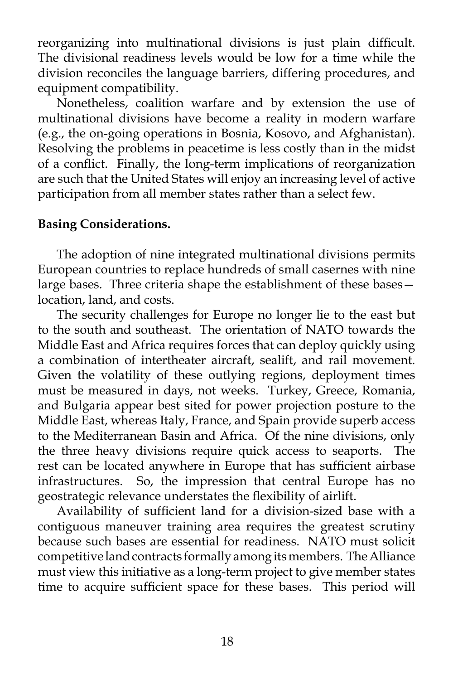reorganizing into multinational divisions is just plain difficult. The divisional readiness levels would be low for a time while the division reconciles the language barriers, differing procedures, and equipment compatibility.

 Nonetheless, coalition warfare and by extension the use of multinational divisions have become a reality in modern warfare (e.g., the on-going operations in Bosnia, Kosovo, and Afghanistan). Resolving the problems in peacetime is less costly than in the midst of a conflict. Finally, the long-term implications of reorganization are such that the United States will enjoy an increasing level of active participation from all member states rather than a select few.

# **Basing Considerations.**

 The adoption of nine integrated multinational divisions permits European countries to replace hundreds of small casernes with nine large bases. Three criteria shape the establishment of these bases location, land, and costs.

 The security challenges for Europe no longer lie to the east but to the south and southeast. The orientation of NATO towards the Middle East and Africa requires forces that can deploy quickly using a combination of intertheater aircraft, sealift, and rail movement. Given the volatility of these outlying regions, deployment times must be measured in days, not weeks. Turkey, Greece, Romania, and Bulgaria appear best sited for power projection posture to the Middle East, whereas Italy, France, and Spain provide superb access to the Mediterranean Basin and Africa. Of the nine divisions, only the three heavy divisions require quick access to seaports. The rest can be located anywhere in Europe that has sufficient airbase infrastructures. So, the impression that central Europe has no geostrategic relevance understates the flexibility of airlift.

 Availability of sufficient land for a division-sized base with a contiguous maneuver training area requires the greatest scrutiny because such bases are essential for readiness. NATO must solicit competitive land contracts formally among its members. The Alliance must view this initiative as a long-term project to give member states time to acquire sufficient space for these bases. This period will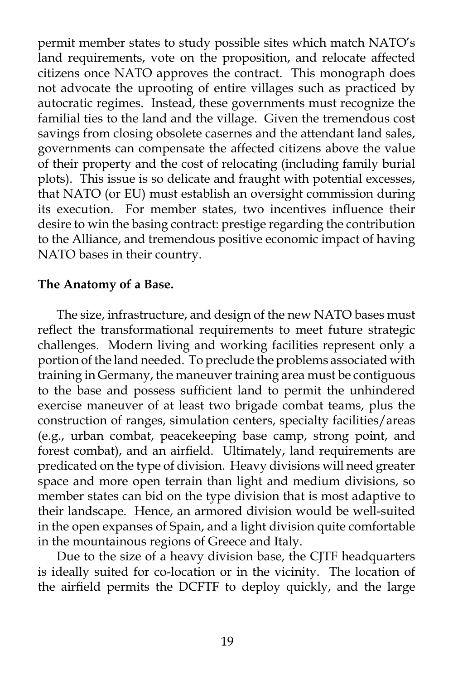permit member states to study possible sites which match NATO's land requirements, vote on the proposition, and relocate affected citizens once NATO approves the contract. This monograph does not advocate the uprooting of entire villages such as practiced by autocratic regimes. Instead, these governments must recognize the familial ties to the land and the village. Given the tremendous cost savings from closing obsolete casernes and the attendant land sales, governments can compensate the affected citizens above the value of their property and the cost of relocating (including family burial plots). This issue is so delicate and fraught with potential excesses, that NATO (or EU) must establish an oversight commission during its execution. For member states, two incentives influence their desire to win the basing contract: prestige regarding the contribution to the Alliance, and tremendous positive economic impact of having NATO bases in their country.

### **The Anatomy of a Base.**

 The size, infrastructure, and design of the new NATO bases must reflect the transformational requirements to meet future strategic challenges. Modern living and working facilities represent only a portion of the land needed. To preclude the problems associated with training in Germany, the maneuver training area must be contiguous to the base and possess sufficient land to permit the unhindered exercise maneuver of at least two brigade combat teams, plus the construction of ranges, simulation centers, specialty facilities/areas (e.g., urban combat, peacekeeping base camp, strong point, and forest combat), and an airfield. Ultimately, land requirements are predicated on the type of division. Heavy divisions will need greater space and more open terrain than light and medium divisions, so member states can bid on the type division that is most adaptive to their landscape. Hence, an armored division would be well-suited in the open expanses of Spain, and a light division quite comfortable in the mountainous regions of Greece and Italy.

 Due to the size of a heavy division base, the CJTF headquarters is ideally suited for co-location or in the vicinity. The location of the airfield permits the DCFTF to deploy quickly, and the large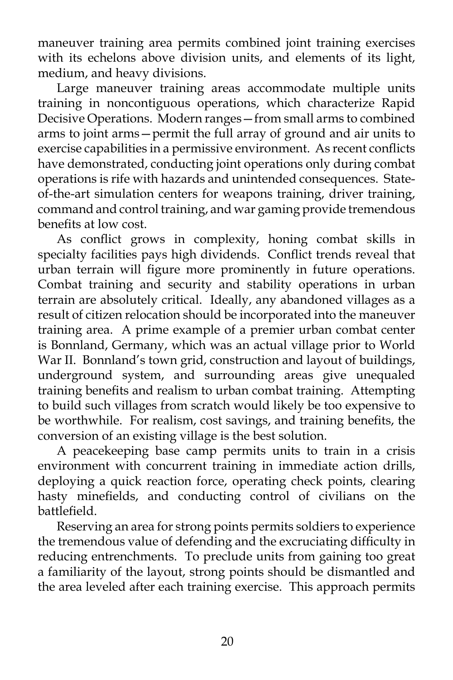maneuver training area permits combined joint training exercises with its echelons above division units, and elements of its light, medium, and heavy divisions.

 Large maneuver training areas accommodate multiple units training in noncontiguous operations, which characterize Rapid Decisive Operations. Modern ranges—from small arms to combined arms to joint arms—permit the full array of ground and air units to exercise capabilities in a permissive environment. As recent conflicts have demonstrated, conducting joint operations only during combat operations is rife with hazards and unintended consequences. Stateof-the-art simulation centers for weapons training, driver training, command and control training, and war gaming provide tremendous benefits at low cost.

 As conflict grows in complexity, honing combat skills in specialty facilities pays high dividends. Conflict trends reveal that urban terrain will figure more prominently in future operations. Combat training and security and stability operations in urban terrain are absolutely critical. Ideally, any abandoned villages as a result of citizen relocation should be incorporated into the maneuver training area. A prime example of a premier urban combat center is Bonnland, Germany, which was an actual village prior to World War II. Bonnland's town grid, construction and layout of buildings, underground system, and surrounding areas give unequaled training benefits and realism to urban combat training. Attempting to build such villages from scratch would likely be too expensive to be worthwhile. For realism, cost savings, and training benefits, the conversion of an existing village is the best solution.

 A peacekeeping base camp permits units to train in a crisis environment with concurrent training in immediate action drills, deploying a quick reaction force, operating check points, clearing hasty minefields, and conducting control of civilians on the battlefield.

 Reserving an area for strong points permits soldiers to experience the tremendous value of defending and the excruciating difficulty in reducing entrenchments. To preclude units from gaining too great a familiarity of the layout, strong points should be dismantled and the area leveled after each training exercise. This approach permits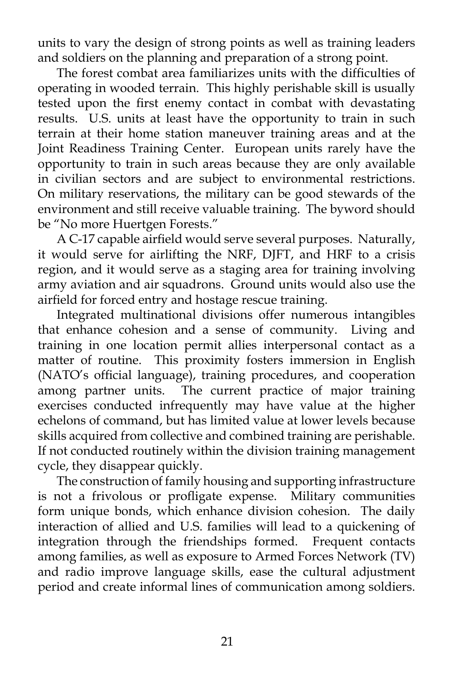units to vary the design of strong points as well as training leaders and soldiers on the planning and preparation of a strong point.

 The forest combat area familiarizes units with the difficulties of operating in wooded terrain. This highly perishable skill is usually tested upon the first enemy contact in combat with devastating results. U.S. units at least have the opportunity to train in such terrain at their home station maneuver training areas and at the Joint Readiness Training Center. European units rarely have the opportunity to train in such areas because they are only available in civilian sectors and are subject to environmental restrictions. On military reservations, the military can be good stewards of the environment and still receive valuable training. The byword should be "No more Huertgen Forests."

 A C-17 capable airfield would serve several purposes. Naturally, it would serve for airlifting the NRF, DJFT, and HRF to a crisis region, and it would serve as a staging area for training involving army aviation and air squadrons. Ground units would also use the airfield for forced entry and hostage rescue training.

 Integrated multinational divisions offer numerous intangibles that enhance cohesion and a sense of community. Living and training in one location permit allies interpersonal contact as a matter of routine. This proximity fosters immersion in English (NATO's official language), training procedures, and cooperation among partner units. The current practice of major training exercises conducted infrequently may have value at the higher echelons of command, but has limited value at lower levels because skills acquired from collective and combined training are perishable. If not conducted routinely within the division training management cycle, they disappear quickly.

 The construction of family housing and supporting infrastructure is not a frivolous or profligate expense. Military communities form unique bonds, which enhance division cohesion. The daily interaction of allied and U.S. families will lead to a quickening of integration through the friendships formed. Frequent contacts among families, as well as exposure to Armed Forces Network (TV) and radio improve language skills, ease the cultural adjustment period and create informal lines of communication among soldiers.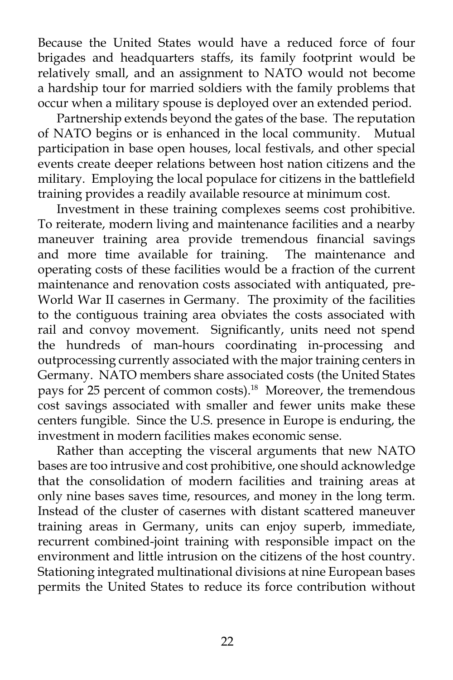Because the United States would have a reduced force of four brigades and headquarters staffs, its family footprint would be relatively small, and an assignment to NATO would not become a hardship tour for married soldiers with the family problems that occur when a military spouse is deployed over an extended period.

 Partnership extends beyond the gates of the base. The reputation of NATO begins or is enhanced in the local community. Mutual participation in base open houses, local festivals, and other special events create deeper relations between host nation citizens and the military. Employing the local populace for citizens in the battlefield training provides a readily available resource at minimum cost.

 Investment in these training complexes seems cost prohibitive. To reiterate, modern living and maintenance facilities and a nearby maneuver training area provide tremendous financial savings and more time available for training. The maintenance and operating costs of these facilities would be a fraction of the current maintenance and renovation costs associated with antiquated, pre-World War II casernes in Germany. The proximity of the facilities to the contiguous training area obviates the costs associated with rail and convoy movement. Significantly, units need not spend the hundreds of man-hours coordinating in-processing and outprocessing currently associated with the major training centers in Germany. NATO members share associated costs (the United States pays for 25 percent of common costs).<sup>18</sup> Moreover, the tremendous cost savings associated with smaller and fewer units make these centers fungible. Since the U.S. presence in Europe is enduring, the investment in modern facilities makes economic sense.

 Rather than accepting the visceral arguments that new NATO bases are too intrusive and cost prohibitive, one should acknowledge that the consolidation of modern facilities and training areas at only nine bases saves time, resources, and money in the long term. Instead of the cluster of casernes with distant scattered maneuver training areas in Germany, units can enjoy superb, immediate, recurrent combined-joint training with responsible impact on the environment and little intrusion on the citizens of the host country. Stationing integrated multinational divisions at nine European bases permits the United States to reduce its force contribution without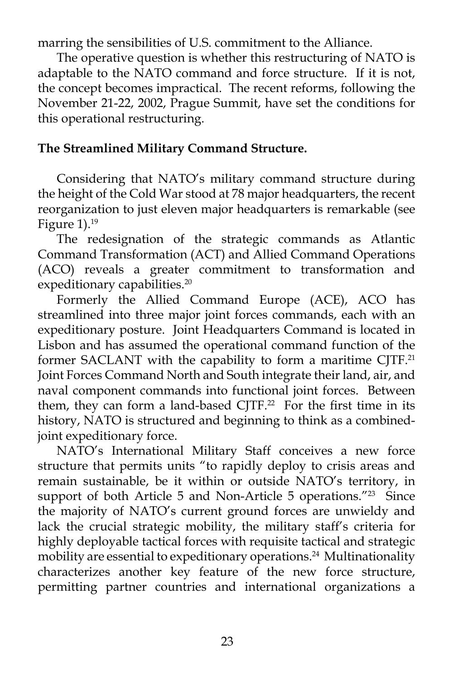marring the sensibilities of U.S. commitment to the Alliance.

 The operative question is whether this restructuring of NATO is adaptable to the NATO command and force structure. If it is not, the concept becomes impractical. The recent reforms, following the November 21-22, 2002, Prague Summit, have set the conditions for this operational restructuring.

# **The Streamlined Military Command Structure.**

 Considering that NATO's military command structure during the height of the Cold War stood at 78 major headquarters, the recent reorganization to just eleven major headquarters is remarkable (see Figure  $1$ ).<sup>19</sup>

 The redesignation of the strategic commands as Atlantic Command Transformation (ACT) and Allied Command Operations (ACO) reveals a greater commitment to transformation and expeditionary capabilities.<sup>20</sup>

 Formerly the Allied Command Europe (ACE), ACO has streamlined into three major joint forces commands, each with an expeditionary posture. Joint Headquarters Command is located in Lisbon and has assumed the operational command function of the former SACLANT with the capability to form a maritime CJTF.<sup>21</sup> Joint Forces Command North and South integrate their land, air, and naval component commands into functional joint forces. Between them, they can form a land-based CJTF.<sup>22</sup> For the first time in its history, NATO is structured and beginning to think as a combinedjoint expeditionary force.

 NATO's International Military Staff conceives a new force structure that permits units "to rapidly deploy to crisis areas and remain sustainable, be it within or outside NATO's territory, in support of both Article 5 and Non-Article 5 operations."<sup>23</sup> Since the majority of NATO's current ground forces are unwieldy and lack the crucial strategic mobility, the military staff's criteria for highly deployable tactical forces with requisite tactical and strategic mobility are essential to expeditionary operations.<sup>24</sup> Multinationality characterizes another key feature of the new force structure, permitting partner countries and international organizations a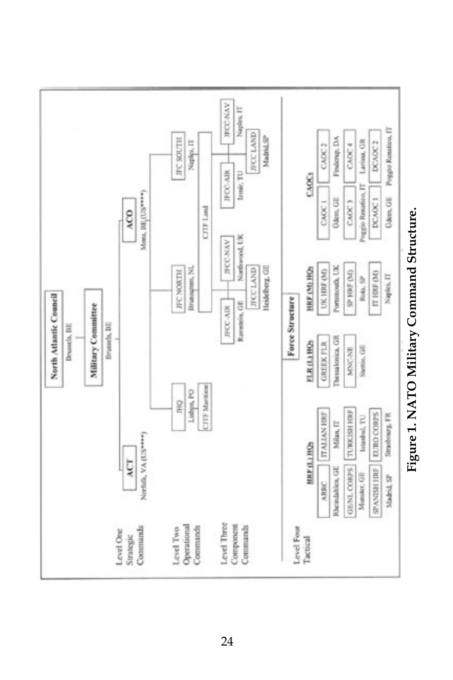

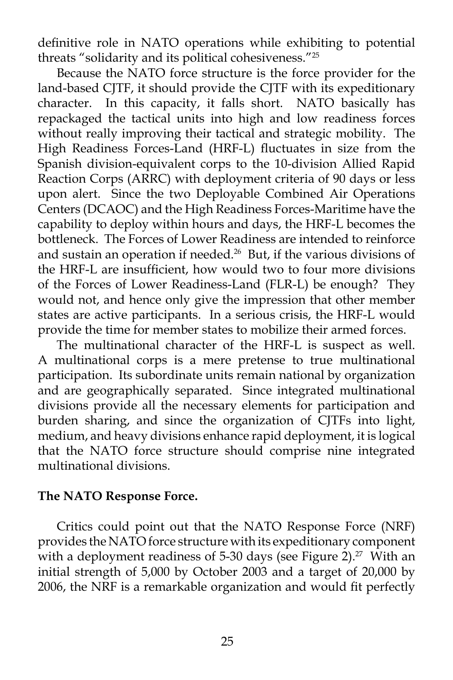definitive role in NATO operations while exhibiting to potential threats "solidarity and its political cohesiveness."25

 Because the NATO force structure is the force provider for the land-based CJTF, it should provide the CJTF with its expeditionary character. In this capacity, it falls short. NATO basically has repackaged the tactical units into high and low readiness forces without really improving their tactical and strategic mobility. The High Readiness Forces-Land (HRF-L) fluctuates in size from the Spanish division-equivalent corps to the 10-division Allied Rapid Reaction Corps (ARRC) with deployment criteria of 90 days or less upon alert. Since the two Deployable Combined Air Operations Centers (DCAOC) and the High Readiness Forces-Maritime have the capability to deploy within hours and days, the HRF-L becomes the bottleneck. The Forces of Lower Readiness are intended to reinforce and sustain an operation if needed.<sup>26</sup> But, if the various divisions of the HRF-L are insufficient, how would two to four more divisions of the Forces of Lower Readiness-Land (FLR-L) be enough? They would not, and hence only give the impression that other member states are active participants. In a serious crisis, the HRF-L would provide the time for member states to mobilize their armed forces.

 The multinational character of the HRF-L is suspect as well. A multinational corps is a mere pretense to true multinational participation. Its subordinate units remain national by organization and are geographically separated. Since integrated multinational divisions provide all the necessary elements for participation and burden sharing, and since the organization of CJTFs into light, medium, and heavy divisions enhance rapid deployment, it is logical that the NATO force structure should comprise nine integrated multinational divisions.

# **The NATO Response Force.**

 Critics could point out that the NATO Response Force (NRF) provides the NATO force structure with its expeditionary component with a deployment readiness of 5-30 days (see Figure 2).<sup>27</sup> With an initial strength of 5,000 by October 2003 and a target of 20,000 by 2006, the NRF is a remarkable organization and would fit perfectly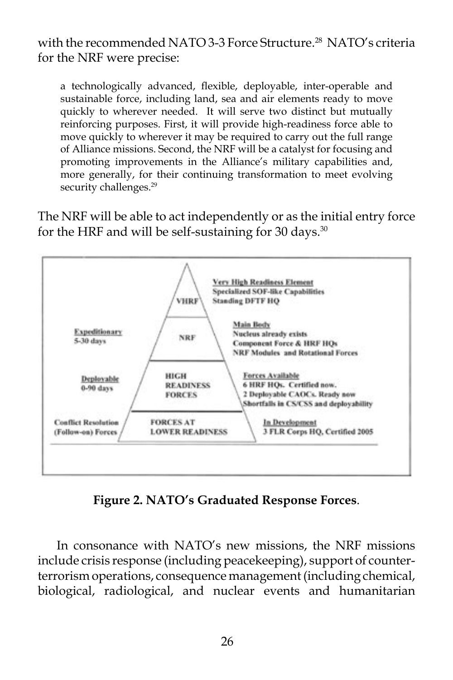with the recommended NATO 3-3 Force Structure.<sup>28</sup> NATO's criteria for the NRF were precise:

a technologically advanced, flexible, deployable, inter-operable and sustainable force, including land, sea and air elements ready to move quickly to wherever needed. It will serve two distinct but mutually reinforcing purposes. First, it will provide high-readiness force able to move quickly to wherever it may be required to carry out the full range of Alliance missions. Second, the NRF will be a catalyst for focusing and promoting improvements in the Alliance's military capabilities and, more generally, for their continuing transformation to meet evolving security challenges.<sup>29</sup>

The NRF will be able to act independently or as the initial entry force for the HRF and will be self-sustaining for 30 days.<sup>30</sup>



**Figure 2. NATO's Graduated Response Forces**.

 In consonance with NATO's new missions, the NRF missions include crisis response (including peacekeeping), support of counterterrorism operations, consequence management (including chemical, biological, radiological, and nuclear events and humanitarian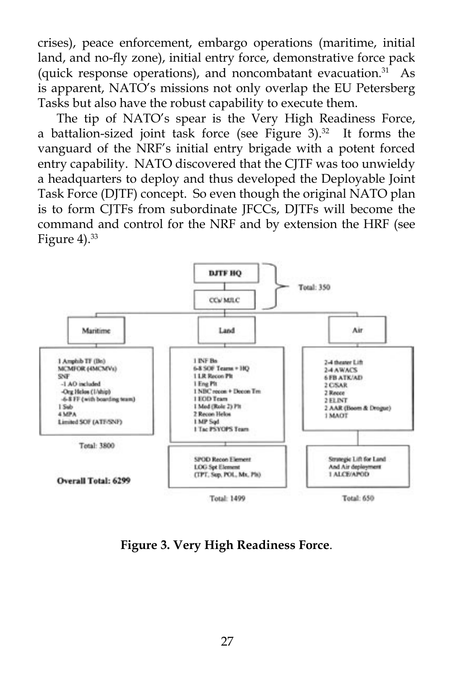crises), peace enforcement, embargo operations (maritime, initial land, and no-fly zone), initial entry force, demonstrative force pack (quick response operations), and noncombatant evacuation. $31$  As is apparent, NATO's missions not only overlap the EU Petersberg Tasks but also have the robust capability to execute them.

 The tip of NATO's spear is the Very High Readiness Force, a battalion-sized joint task force (see Figure 3). $32$  It forms the vanguard of the NRF's initial entry brigade with a potent forced entry capability. NATO discovered that the CJTF was too unwieldy a headquarters to deploy and thus developed the Deployable Joint Task Force (DJTF) concept. So even though the original NATO plan is to form CJTFs from subordinate JFCCs, DJTFs will become the command and control for the NRF and by extension the HRF (see Figure 4).<sup>33</sup>



**Figure 3. Very High Readiness Force**.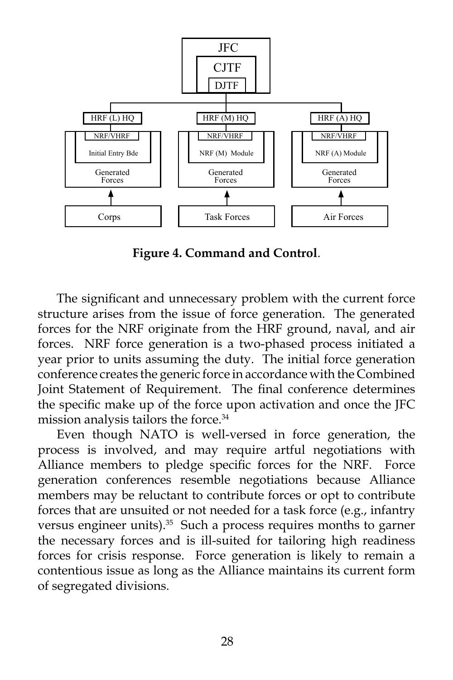

**Figure 4. Command and Control**.

 The significant and unnecessary problem with the current force structure arises from the issue of force generation. The generated forces for the NRF originate from the HRF ground, naval, and air forces. NRF force generation is a two-phased process initiated a year prior to units assuming the duty. The initial force generation conference creates the generic force in accordance with the Combined Joint Statement of Requirement. The final conference determines the specific make up of the force upon activation and once the JFC mission analysis tailors the force.<sup>34</sup>

 Even though NATO is well-versed in force generation, the process is involved, and may require artful negotiations with Alliance members to pledge specific forces for the NRF. Force generation conferences resemble negotiations because Alliance members may be reluctant to contribute forces or opt to contribute forces that are unsuited or not needed for a task force (e.g., infantry versus engineer units).<sup>35</sup> Such a process requires months to garner the necessary forces and is ill-suited for tailoring high readiness forces for crisis response. Force generation is likely to remain a contentious issue as long as the Alliance maintains its current form of segregated divisions.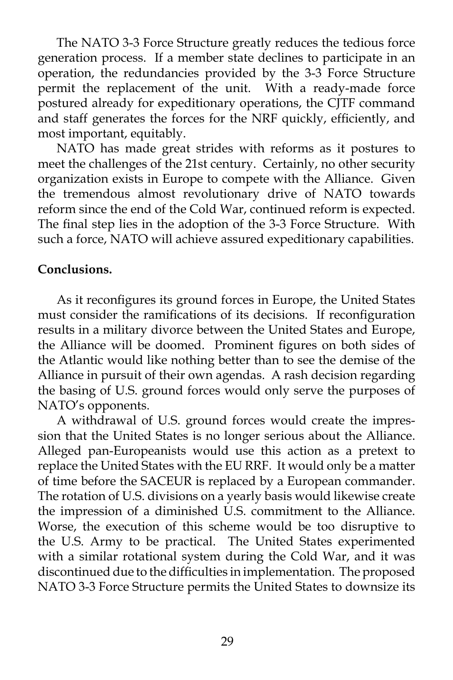The NATO 3-3 Force Structure greatly reduces the tedious force generation process. If a member state declines to participate in an operation, the redundancies provided by the 3-3 Force Structure permit the replacement of the unit. With a ready-made force postured already for expeditionary operations, the CJTF command and staff generates the forces for the NRF quickly, efficiently, and most important, equitably.

 NATO has made great strides with reforms as it postures to meet the challenges of the 21st century. Certainly, no other security organization exists in Europe to compete with the Alliance. Given the tremendous almost revolutionary drive of NATO towards reform since the end of the Cold War, continued reform is expected. The final step lies in the adoption of the 3-3 Force Structure. With such a force, NATO will achieve assured expeditionary capabilities.

# **Conclusions.**

 As it reconfigures its ground forces in Europe, the United States must consider the ramifications of its decisions. If reconfiguration results in a military divorce between the United States and Europe, the Alliance will be doomed. Prominent figures on both sides of the Atlantic would like nothing better than to see the demise of the Alliance in pursuit of their own agendas. A rash decision regarding the basing of U.S. ground forces would only serve the purposes of NATO's opponents.

 A withdrawal of U.S. ground forces would create the impression that the United States is no longer serious about the Alliance. Alleged pan-Europeanists would use this action as a pretext to replace the United States with the EU RRF. It would only be a matter of time before the SACEUR is replaced by a European commander. The rotation of U.S. divisions on a yearly basis would likewise create the impression of a diminished U.S. commitment to the Alliance. Worse, the execution of this scheme would be too disruptive to the U.S. Army to be practical. The United States experimented with a similar rotational system during the Cold War, and it was discontinued due to the difficulties in implementation. The proposed NATO 3-3 Force Structure permits the United States to downsize its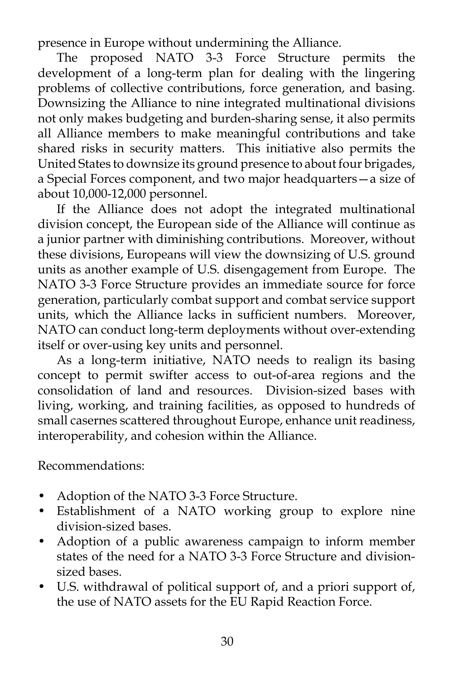presence in Europe without undermining the Alliance.

 The proposed NATO 3-3 Force Structure permits the development of a long-term plan for dealing with the lingering problems of collective contributions, force generation, and basing. Downsizing the Alliance to nine integrated multinational divisions not only makes budgeting and burden-sharing sense, it also permits all Alliance members to make meaningful contributions and take shared risks in security matters. This initiative also permits the United States to downsize its ground presence to about four brigades, a Special Forces component, and two major headquarters—a size of about 10,000-12,000 personnel.

 If the Alliance does not adopt the integrated multinational division concept, the European side of the Alliance will continue as a junior partner with diminishing contributions. Moreover, without these divisions, Europeans will view the downsizing of U.S. ground units as another example of U.S. disengagement from Europe. The NATO 3-3 Force Structure provides an immediate source for force generation, particularly combat support and combat service support units, which the Alliance lacks in sufficient numbers. Moreover, NATO can conduct long-term deployments without over-extending itself or over-using key units and personnel.

 As a long-term initiative, NATO needs to realign its basing concept to permit swifter access to out-of-area regions and the consolidation of land and resources. Division-sized bases with living, working, and training facilities, as opposed to hundreds of small casernes scattered throughout Europe, enhance unit readiness, interoperability, and cohesion within the Alliance.

Recommendations:

- Adoption of the NATO 3-3 Force Structure.
- Establishment of a NATO working group to explore nine division-sized bases.
- Adoption of a public awareness campaign to inform member states of the need for a NATO 3-3 Force Structure and divisionsized bases.
- U.S. withdrawal of political support of, and a priori support of, the use of NATO assets for the EU Rapid Reaction Force.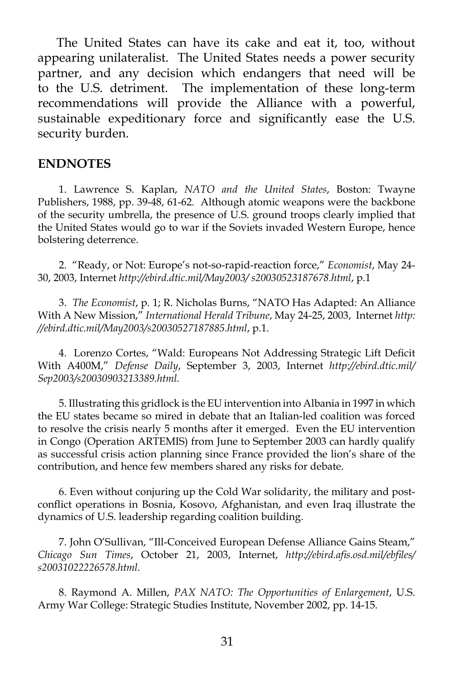The United States can have its cake and eat it, too, without appearing unilateralist. The United States needs a power security partner, and any decision which endangers that need will be to the U.S. detriment. The implementation of these long-term recommendations will provide the Alliance with a powerful, sustainable expeditionary force and significantly ease the U.S. security burden.

### **ENDNOTES**

1. Lawrence S. Kaplan, *NATO and the United States*, Boston: Twayne Publishers, 1988, pp. 39-48, 61-62. Although atomic weapons were the backbone of the security umbrella, the presence of U.S. ground troops clearly implied that the United States would go to war if the Soviets invaded Western Europe, hence bolstering deterrence.

2. "Ready, or Not: Europe's not-so-rapid-reaction force," *Economist*, May 24- 30, 2003, Internet *http://ebird.dtic.mil/May2003/ s20030523187678.html*, p.1

 3. *The Economist*, p. 1; R. Nicholas Burns, "NATO Has Adapted: An Alliance With A New Mission," *International Herald Tribune*, May 24-25, 2003, Internet *http: //ebird.dtic.mil/May2003/s20030527187885.html*, p.1.

4. Lorenzo Cortes, "Wald: Europeans Not Addressing Strategic Lift Deficit With A400M," *Defense Daily*, September 3, 2003, Internet *http://ebird.dtic.mil/ Sep2003/s20030903213389.html.*

5. Illustrating this gridlock is the EU intervention into Albania in 1997 in which the EU states became so mired in debate that an Italian-led coalition was forced to resolve the crisis nearly 5 months after it emerged. Even the EU intervention in Congo (Operation ARTEMIS) from June to September 2003 can hardly qualify as successful crisis action planning since France provided the lion's share of the contribution, and hence few members shared any risks for debate.

6. Even without conjuring up the Cold War solidarity, the military and postconflict operations in Bosnia, Kosovo, Afghanistan, and even Iraq illustrate the dynamics of U.S. leadership regarding coalition building.

7. John O'Sullivan, "Ill-Conceived European Defense Alliance Gains Steam," *Chicago Sun Times*, October 21, 2003, Internet, *http://ebird.afis.osd.mil/ebfiles/ s20031022226578.html.*

8. Raymond A. Millen, *PAX NATO: The Opportunities of Enlargement*, U.S. Army War College: Strategic Studies Institute, November 2002, pp. 14-15.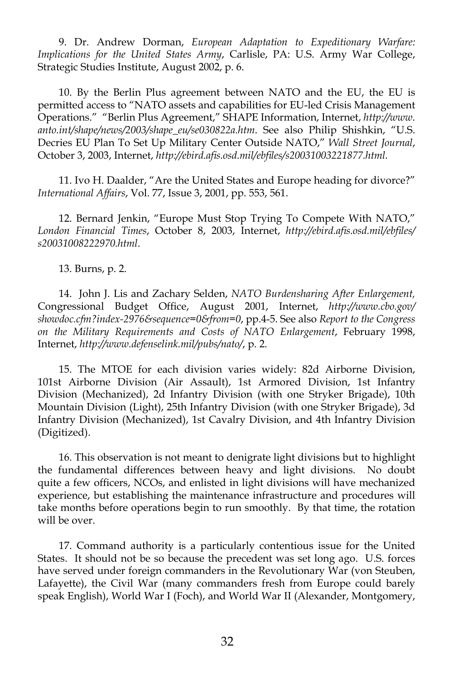9. Dr. Andrew Dorman, *European Adaptation to Expeditionary Warfare: Implications for the United States Army*, Carlisle, PA: U.S. Army War College, Strategic Studies Institute, August 2002, p. 6.

10. By the Berlin Plus agreement between NATO and the EU, the EU is permitted access to "NATO assets and capabilities for EU-led Crisis Management Operations." "Berlin Plus Agreement," SHAPE Information, Internet, *http://www. anto.int/shape/news/2003/shape\_eu/se030822a.htm*. See also Philip Shishkin, "U.S. Decries EU Plan To Set Up Military Center Outside NATO," *Wall Street Journal*, October 3, 2003, Internet, *http://ebird.afis.osd.mil/ebfiles/s20031003221877.html.*

11. Ivo H. Daalder, "Are the United States and Europe heading for divorce?" *International Affairs*, Vol. 77, Issue 3, 2001, pp. 553, 561.

12. Bernard Jenkin, "Europe Must Stop Trying To Compete With NATO," *London Financial Times*, October 8, 2003, Internet, *http://ebird.afis.osd.mil/ebfiles/ s20031008222970.html*.

13. Burns, p. 2.

14. John J. Lis and Zachary Selden, *NATO Burdensharing After Enlargement,*  Congressional Budget Office, August 2001, Internet, *http://www.cbo.gov/ showdoc.cfm?index-2976&sequence=0&from=0*, pp.4-5. See also *Report to the Congress on the Military Requirements and Costs of NATO Enlargement*, February 1998, Internet, *http://www.defenselink.mil/pubs/nato/*, p. 2.

15. The MTOE for each division varies widely: 82d Airborne Division, 101st Airborne Division (Air Assault), 1st Armored Division, 1st Infantry Division (Mechanized), 2d Infantry Division (with one Stryker Brigade), 10th Mountain Division (Light), 25th Infantry Division (with one Stryker Brigade), 3d Infantry Division (Mechanized), 1st Cavalry Division, and 4th Infantry Division (Digitized).

16. This observation is not meant to denigrate light divisions but to highlight the fundamental differences between heavy and light divisions. No doubt quite a few officers, NCOs, and enlisted in light divisions will have mechanized experience, but establishing the maintenance infrastructure and procedures will take months before operations begin to run smoothly. By that time, the rotation will be over.

17. Command authority is a particularly contentious issue for the United States. It should not be so because the precedent was set long ago. U.S. forces have served under foreign commanders in the Revolutionary War (von Steuben, Lafayette), the Civil War (many commanders fresh from Europe could barely speak English), World War I (Foch), and World War II (Alexander, Montgomery,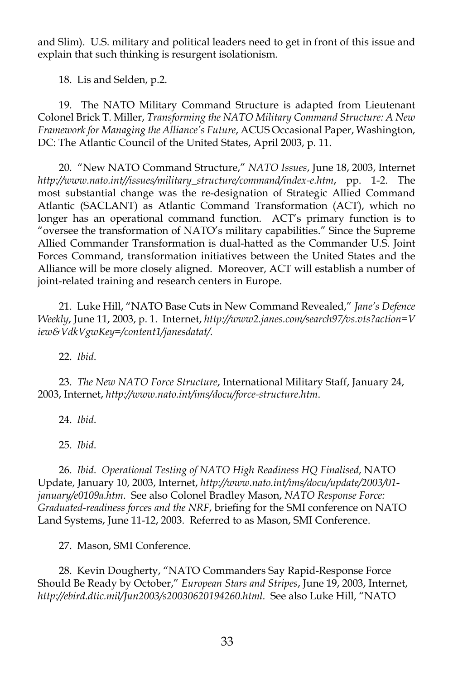and Slim). U.S. military and political leaders need to get in front of this issue and explain that such thinking is resurgent isolationism.

18. Lis and Selden, p.2.

19. The NATO Military Command Structure is adapted from Lieutenant Colonel Brick T. Miller, *Transforming the NATO Military Command Structure: A New Framework for Managing the Alliance's Future*, ACUS Occasional Paper, Washington, DC: The Atlantic Council of the United States, April 2003, p. 11.

20. "New NATO Command Structure," *NATO Issues*, June 18, 2003, Internet *http://www.nato.int//issues/military\_structure/command/index-e.htm*, pp. 1-2. The most substantial change was the re-designation of Strategic Allied Command Atlantic (SACLANT) as Atlantic Command Transformation (ACT), which no longer has an operational command function. ACT's primary function is to "oversee the transformation of NATO's military capabilities." Since the Supreme Allied Commander Transformation is dual-hatted as the Commander U.S. Joint Forces Command, transformation initiatives between the United States and the Alliance will be more closely aligned. Moreover, ACT will establish a number of joint-related training and research centers in Europe.

21. Luke Hill, "NATO Base Cuts in New Command Revealed," *Jane's Defence Weekly*, June 11, 2003, p. 1. Internet, *http://www2.janes.com/search97/vs.vts?action=V iew&VdkVgwKey=/content1/janesdatat/.*

22. *Ibid*.

23. *The New NATO Force Structure*, International Military Staff, January 24, 2003, Internet, *http://www.nato.int/ims/docu/force-structure.htm*.

24. *Ibid*.

25. *Ibid*.

26. *Ibid*. *Operational Testing of NATO High Readiness HQ Finalised*, NATO Update, January 10, 2003, Internet, *http://www.nato.int/ims/docu/update/2003/01 january/e0109a.htm*. See also Colonel Bradley Mason, *NATO Response Force: Graduated-readiness forces and the NRF*, briefing for the SMI conference on NATO Land Systems, June 11-12, 2003. Referred to as Mason, SMI Conference.

27. Mason, SMI Conference.

28. Kevin Dougherty, "NATO Commanders Say Rapid-Response Force Should Be Ready by October," *European Stars and Stripes*, June 19, 2003, Internet, *http://ebird.dtic.mil/Jun2003/s20030620194260.html*. See also Luke Hill, "NATO